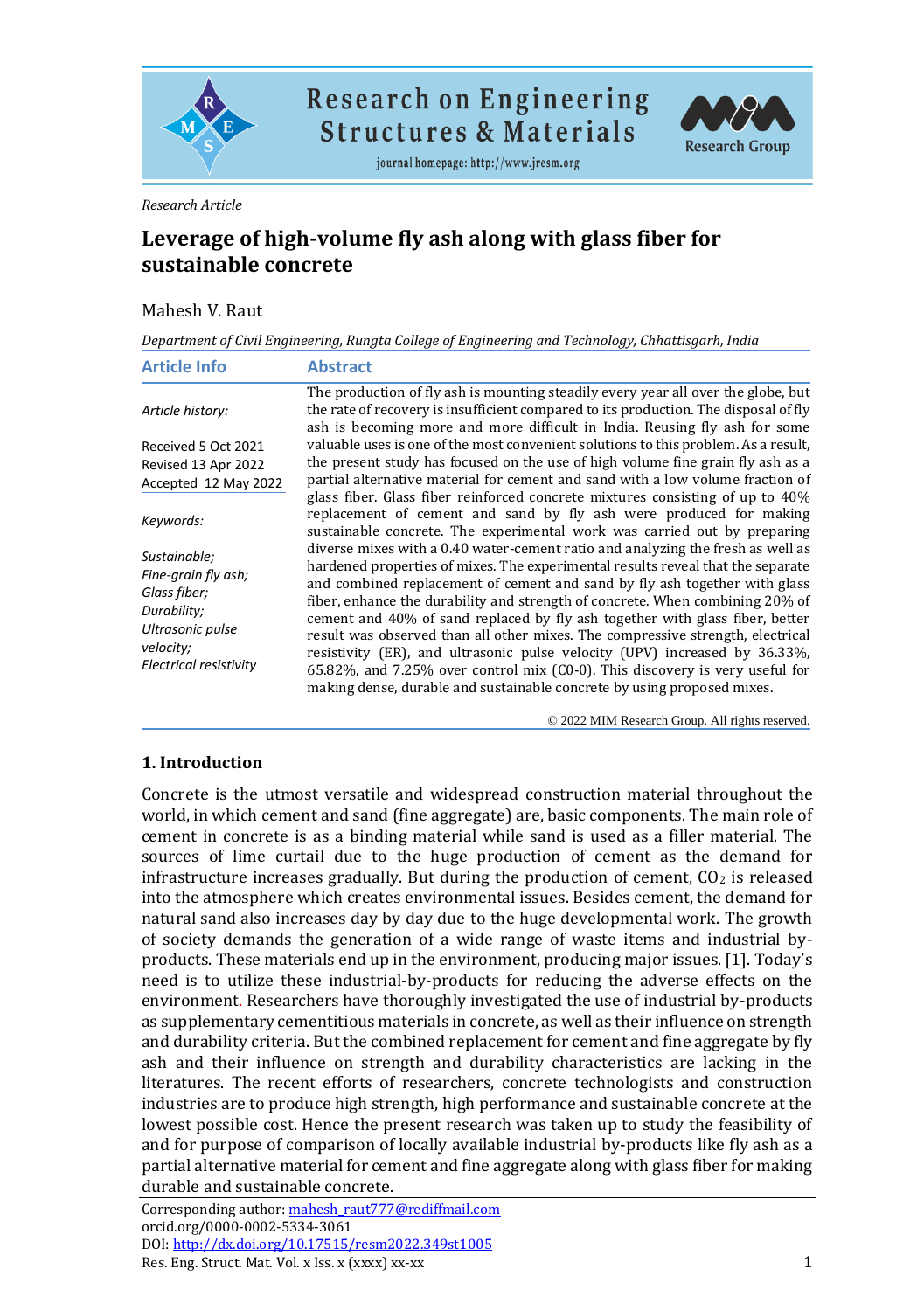

**Research on Engineering Structures & Materials** 

journal homepage: http://www.jresm.org



#### *Research Article*

# **Leverage of high-volume fly ash along with glass fiber for sustainable concrete**

#### Mahesh V. Raut

*Department of Civil Engineering, Rungta College of Engineering and Technology, Chhattisgarh, India*

| <b>Article Info</b>                                                                                                                  | <b>Abstract</b>                                                                                                                                                                                                                                                                                                                                                                                                                                                                                                                                                                                                                                                                                                                              |
|--------------------------------------------------------------------------------------------------------------------------------------|----------------------------------------------------------------------------------------------------------------------------------------------------------------------------------------------------------------------------------------------------------------------------------------------------------------------------------------------------------------------------------------------------------------------------------------------------------------------------------------------------------------------------------------------------------------------------------------------------------------------------------------------------------------------------------------------------------------------------------------------|
| Article history:                                                                                                                     | The production of fly ash is mounting steadily every year all over the globe, but<br>the rate of recovery is insufficient compared to its production. The disposal of fly<br>ash is becoming more and more difficult in India. Reusing fly ash for some                                                                                                                                                                                                                                                                                                                                                                                                                                                                                      |
| Received 5 Oct 2021<br>Revised 13 Apr 2022<br>Accepted 12 May 2022                                                                   | valuable uses is one of the most convenient solutions to this problem. As a result,<br>the present study has focused on the use of high volume fine grain fly ash as a<br>partial alternative material for cement and sand with a low volume fraction of<br>glass fiber. Glass fiber reinforced concrete mixtures consisting of up to 40%                                                                                                                                                                                                                                                                                                                                                                                                    |
| Keywords:                                                                                                                            | replacement of cement and sand by fly ash were produced for making<br>sustainable concrete. The experimental work was carried out by preparing                                                                                                                                                                                                                                                                                                                                                                                                                                                                                                                                                                                               |
| Sustainable;<br>Fine-grain fly ash;<br>Glass fiber;<br>Durability;<br>Ultrasonic pulse<br>velocity;<br><b>Electrical resistivity</b> | diverse mixes with a 0.40 water-cement ratio and analyzing the fresh as well as<br>hardened properties of mixes. The experimental results reveal that the separate<br>and combined replacement of cement and sand by fly ash together with glass<br>fiber, enhance the durability and strength of concrete. When combining 20% of<br>cement and 40% of sand replaced by fly ash together with glass fiber, better<br>result was observed than all other mixes. The compressive strength, electrical<br>resistivity (ER), and ultrasonic pulse velocity (UPV) increased by 36.33%,<br>65.82%, and 7.25% over control mix (C0-0). This discovery is very useful for<br>making dense, durable and sustainable concrete by using proposed mixes. |

© 2022 MIM Research Group. All rights reserved.

## **1. Introduction**

Concrete is the utmost versatile and widespread construction material throughout the world, in which cement and sand (fine aggregate) are, basic components. The main role of cement in concrete is as a binding material while sand is used as a filler material. The sources of lime curtail due to the huge production of cement as the demand for infrastructure increases gradually. But during the production of cement,  $CO<sub>2</sub>$  is released into the atmosphere which creates environmental issues. Besides cement, the demand for natural sand also increases day by day due to the huge developmental work. The growth of society demands the generation of a wide range of waste items and industrial byproducts. These materials end up in the environment, producing major issues. [1]. Today's need is to utilize these industrial-by-products for reducing the adverse effects on the environment. Researchers have thoroughly investigated the use of industrial by-products as supplementary cementitious materials in concrete, as well as their influence on strength and durability criteria. But the combined replacement for cement and fine aggregate by fly ash and their influence on strength and durability characteristics are lacking in the literatures. The recent efforts of researchers, concrete technologists and construction industries are to produce high strength, high performance and sustainable concrete at the lowest possible cost. Hence the present research was taken up to study the feasibility of and for purpose of comparison of locally available industrial by-products like fly ash as a partial alternative material for cement and fine aggregate along with glass fiber for making durable and sustainable concrete.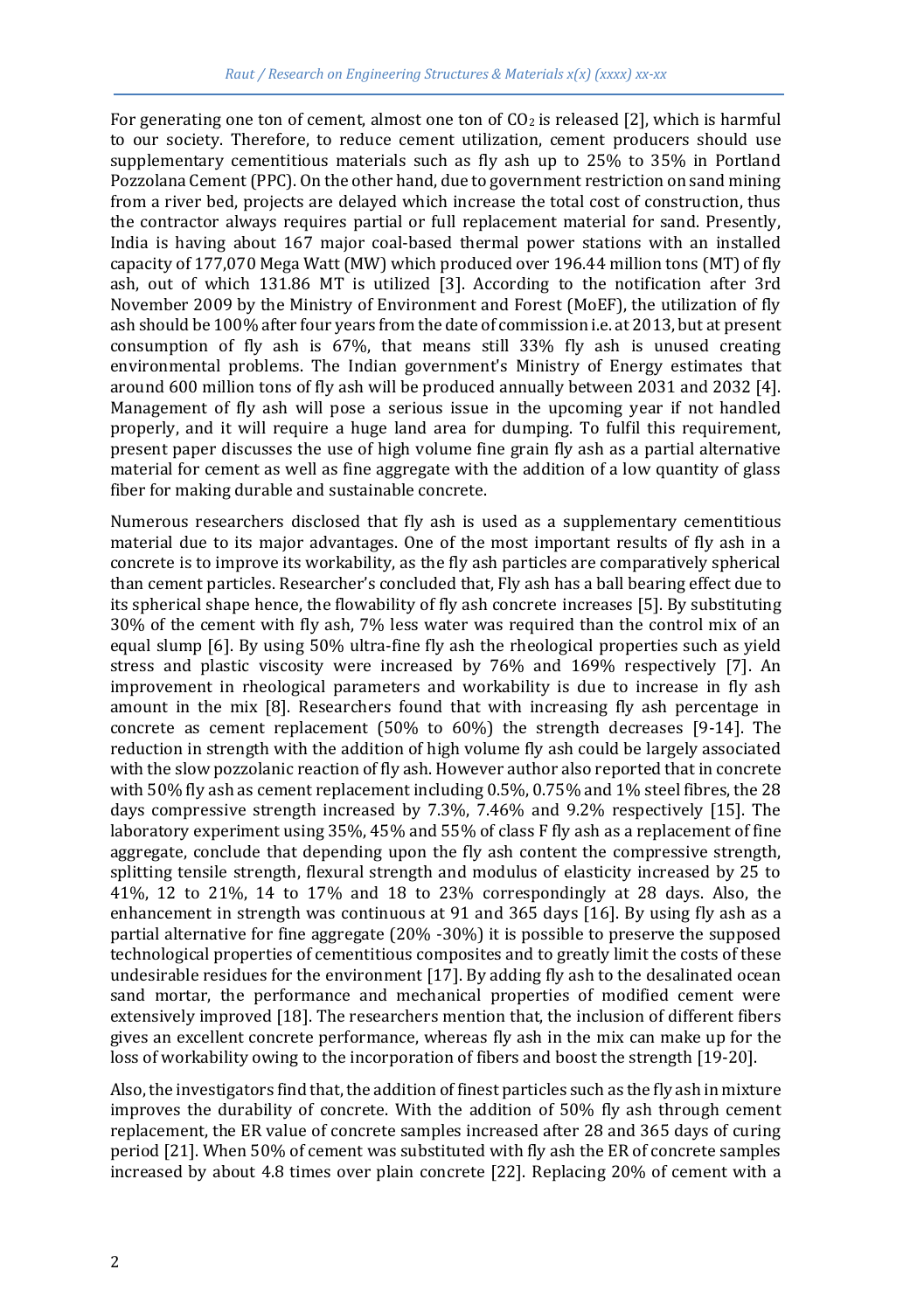For generating one ton of cement, almost one ton of  $CO<sub>2</sub>$  is released [2], which is harmful to our society. Therefore, to reduce cement utilization, cement producers should use supplementary cementitious materials such as fly ash up to 25% to 35% in Portland Pozzolana Cement (PPC). On the other hand, due to government restriction on sand mining from a river bed, projects are delayed which increase the total cost of construction, thus the contractor always requires partial or full replacement material for sand. Presently, India is having about 167 major coal-based thermal power stations with an installed capacity of 177,070 Mega Watt (MW) which produced over 196.44 million tons (MT) of fly ash, out of which 131.86 MT is utilized [3]. According to the notification after 3rd November 2009 by the Ministry of Environment and Forest (MoEF), the utilization of fly ash should be 100% after four years from the date of commission i.e. at 2013, but at present consumption of fly ash is 67%, that means still 33% fly ash is unused creating environmental problems. The Indian government's Ministry of Energy estimates that around 600 million tons of fly ash will be produced annually between 2031 and 2032 [4]. Management of fly ash will pose a serious issue in the upcoming year if not handled properly, and it will require a huge land area for dumping. To fulfil this requirement, present paper discusses the use of high volume fine grain fly ash as a partial alternative material for cement as well as fine aggregate with the addition of a low quantity of glass fiber for making durable and sustainable concrete.

Numerous researchers disclosed that fly ash is used as a supplementary cementitious material due to its major advantages. One of the most important results of fly ash in a concrete is to improve its workability, as the fly ash particles are comparatively spherical than cement particles. Researcher's concluded that, Fly ash has a ball bearing effect due to its spherical shape hence, the flowability of fly ash concrete increases [5]. By substituting 30% of the cement with fly ash, 7% less water was required than the control mix of an equal slump [6]. By using 50% ultra-fine fly ash the rheological properties such as yield stress and plastic viscosity were increased by 76% and 169% respectively [7]. An improvement in rheological parameters and workability is due to increase in fly ash amount in the mix [8]. Researchers found that with increasing fly ash percentage in concrete as cement replacement (50% to 60%) the strength decreases [9-14]. The reduction in strength with the addition of high volume fly ash could be largely associated with the slow pozzolanic reaction of fly ash. However author also reported that in concrete with 50% fly ash as cement replacement including 0.5%, 0.75% and 1% steel fibres, the 28 days compressive strength increased by 7.3%, 7.46% and 9.2% respectively [15]. The laboratory experiment using 35%, 45% and 55% of class F fly ash as a replacement of fine aggregate, conclude that depending upon the fly ash content the compressive strength, splitting tensile strength, flexural strength and modulus of elasticity increased by 25 to 41%, 12 to 21%, 14 to 17% and 18 to 23% correspondingly at 28 days. Also, the enhancement in strength was continuous at 91 and 365 days [16]. By using fly ash as a partial alternative for fine aggregate (20% -30%) it is possible to preserve the supposed technological properties of cementitious composites and to greatly limit the costs of these undesirable residues for the environment [17]. By adding fly ash to the desalinated ocean sand mortar, the performance and mechanical properties of modified cement were extensively improved [18]. The researchers mention that, the inclusion of different fibers gives an excellent concrete performance, whereas fly ash in the mix can make up for the loss of workability owing to the incorporation of fibers and boost the strength [19-20].

Also, the investigators find that, the addition of finest particles such as the fly ash in mixture improves the durability of concrete. With the addition of 50% fly ash through cement replacement, the ER value of concrete samples increased after 28 and 365 days of curing period [21]. When 50% of cement was substituted with fly ash the ER of concrete samples increased by about 4.8 times over plain concrete [22]. Replacing 20% of cement with a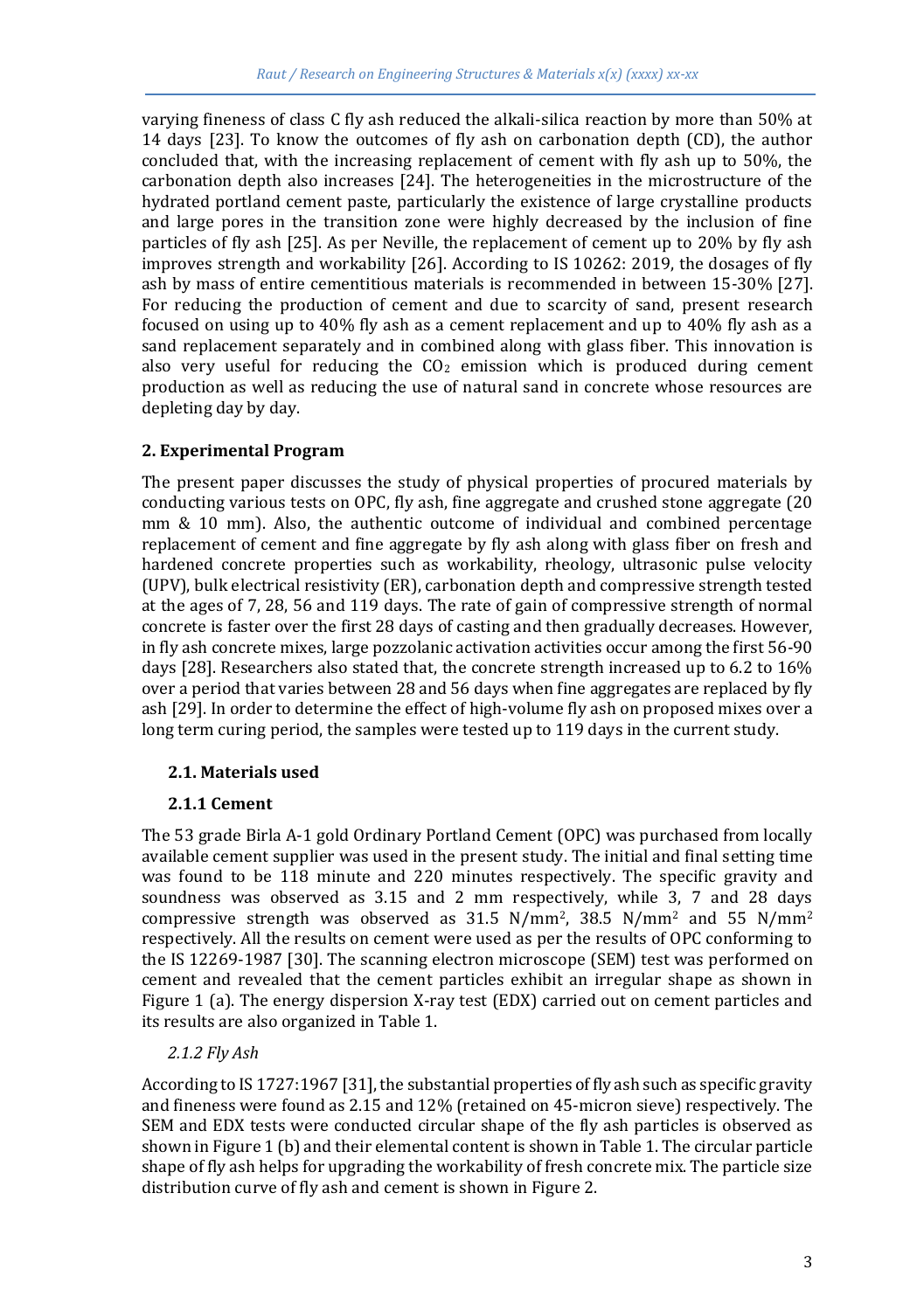varying fineness of class C fly ash reduced the alkali-silica reaction by more than 50% at 14 days [23]. To know the outcomes of fly ash on carbonation depth (CD), the author concluded that, with the increasing replacement of cement with fly ash up to 50%, the carbonation depth also increases [24]. The heterogeneities in the microstructure of the hydrated portland cement paste, particularly the existence of large crystalline products and large pores in the transition zone were highly decreased by the inclusion of fine particles of fly ash [25]. As per Neville, the replacement of cement up to 20% by fly ash improves strength and workability [26]. According to IS 10262: 2019, the dosages of fly ash by mass of entire cementitious materials is recommended in between 15-30% [27]. For reducing the production of cement and due to scarcity of sand, present research focused on using up to 40% fly ash as a cement replacement and up to 40% fly ash as a sand replacement separately and in combined along with glass fiber. This innovation is also very useful for reducing the  $CO<sub>2</sub>$  emission which is produced during cement production as well as reducing the use of natural sand in concrete whose resources are depleting day by day.

## **2. Experimental Program**

The present paper discusses the study of physical properties of procured materials by conducting various tests on OPC, fly ash, fine aggregate and crushed stone aggregate (20 mm & 10 mm). Also, the authentic outcome of individual and combined percentage replacement of cement and fine aggregate by fly ash along with glass fiber on fresh and hardened concrete properties such as workability, rheology, ultrasonic pulse velocity (UPV), bulk electrical resistivity (ER), carbonation depth and compressive strength tested at the ages of 7, 28, 56 and 119 days. The rate of gain of compressive strength of normal concrete is faster over the first 28 days of casting and then gradually decreases. However, in fly ash concrete mixes, large pozzolanic activation activities occur among the first 56-90 days [28]. Researchers also stated that, the concrete strength increased up to 6.2 to 16% over a period that varies between 28 and 56 days when fine aggregates are replaced by fly ash [29]. In order to determine the effect of high-volume fly ash on proposed mixes over a long term curing period, the samples were tested up to 119 days in the current study.

## **2.1. Materials used**

## **2.1.1 Cement**

The 53 grade Birla A-1 gold Ordinary Portland Cement (OPC) was purchased from locally available cement supplier was used in the present study. The initial and final setting time was found to be 118 minute and 220 minutes respectively. The specific gravity and soundness was observed as 3.15 and 2 mm respectively, while 3, 7 and 28 days compressive strength was observed as  $31.5 \text{ N/mm}^2$ ,  $38.5 \text{ N/mm}^2$  and  $55 \text{ N/mm}^2$ respectively. All the results on cement were used as per the results of OPC conforming to the IS 12269-1987 [30]. The scanning electron microscope (SEM) test was performed on cement and revealed that the cement particles exhibit an irregular shape as shown in Figure 1 (a). The energy dispersion X-ray test (EDX) carried out on cement particles and its results are also organized in Table 1.

## *2.1.2 Fly Ash*

According to IS 1727:1967 [31], the substantial properties of fly ash such as specific gravity and fineness were found as 2.15 and 12% (retained on 45-micron sieve) respectively. The SEM and EDX tests were conducted circular shape of the fly ash particles is observed as shown in Figure 1 (b) and their elemental content is shown in Table 1. The circular particle shape of fly ash helps for upgrading the workability of fresh concrete mix. The particle size distribution curve of fly ash and cement is shown in Figure 2.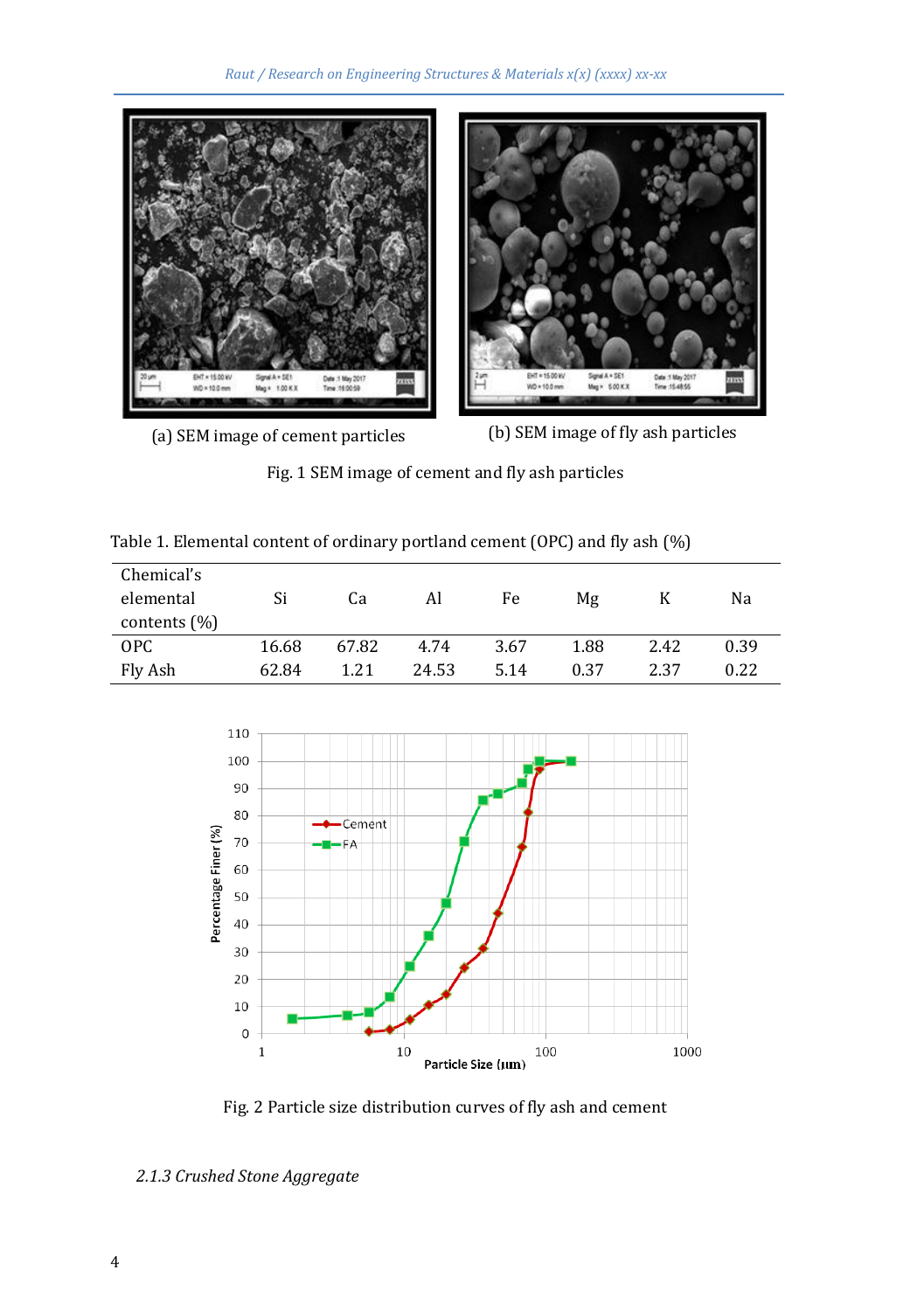

(a) SEM image of cement particles (b) SEM image of fly ash particles

Fig. 1 SEM image of cement and fly ash particles

|  | Table 1. Elemental content of ordinary portland cement (OPC) and fly ash (%) |  |  |  |  |
|--|------------------------------------------------------------------------------|--|--|--|--|
|  |                                                                              |  |  |  |  |

| Chemical's<br>elemental | Si    | Ca    | Al    | Fe   | Мg   |      | Na   |
|-------------------------|-------|-------|-------|------|------|------|------|
| contents $(\%)$         |       |       |       |      |      |      |      |
| OPC                     | 16.68 | 67.82 | 4.74  | 3.67 | 1.88 | 2.42 | 0.39 |
| Fly Ash                 | 62.84 | 1.21  | 24.53 | 5.14 | 0.37 | 2.37 | 0.22 |



Fig. 2 Particle size distribution curves of fly ash and cement

*<sup>2.1.3</sup> Crushed Stone Aggregate*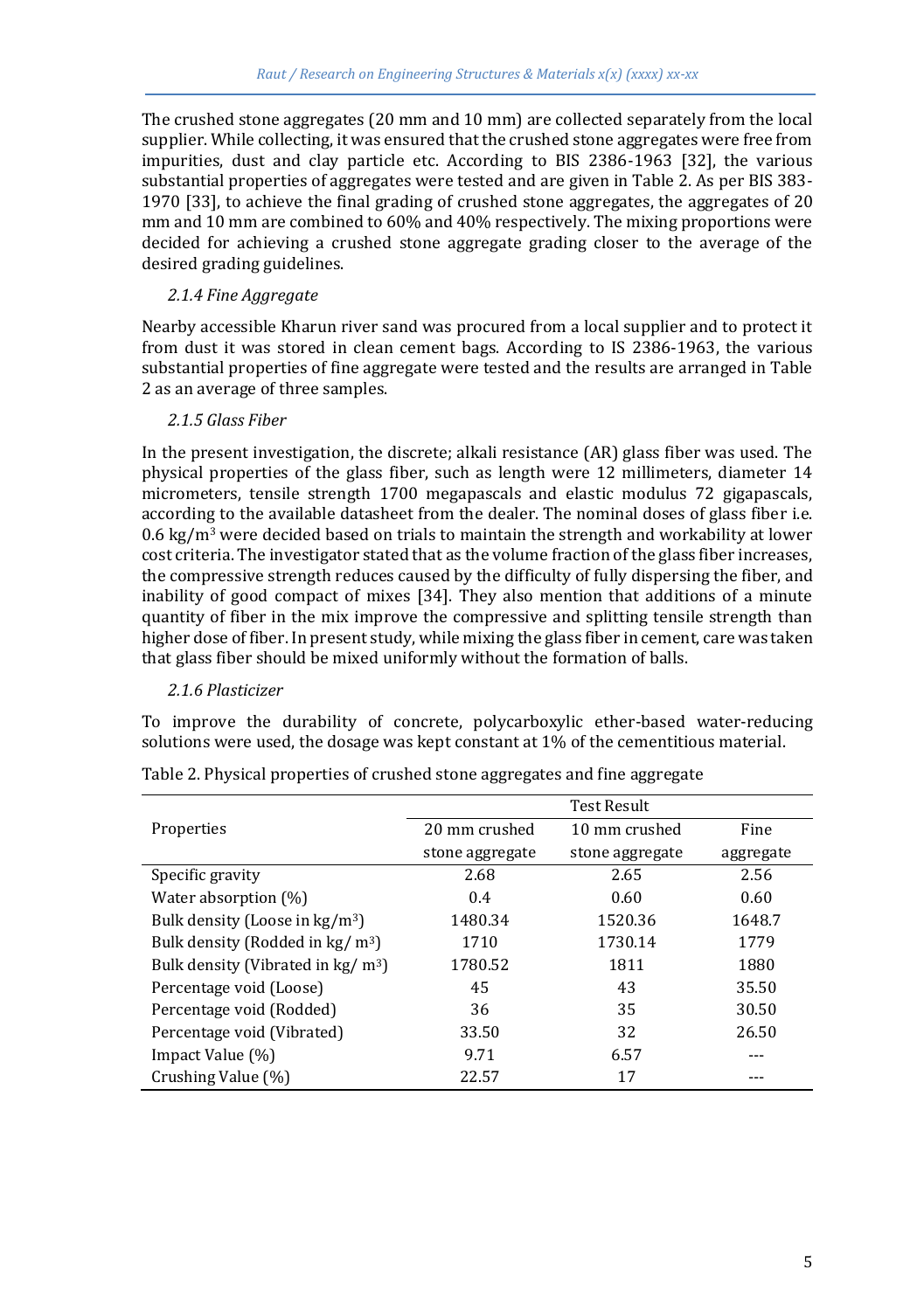The crushed stone aggregates (20 mm and 10 mm) are collected separately from the local supplier. While collecting, it was ensured that the crushed stone aggregates were free from impurities, dust and clay particle etc. According to BIS 2386-1963 [32], the various substantial properties of aggregates were tested and are given in Table 2. As per BIS 383- 1970 [33], to achieve the final grading of crushed stone aggregates, the aggregates of 20 mm and 10 mm are combined to 60% and 40% respectively. The mixing proportions were decided for achieving a crushed stone aggregate grading closer to the average of the desired grading guidelines.

### *2.1.4 Fine Aggregate*

Nearby accessible Kharun river sand was procured from a local supplier and to protect it from dust it was stored in clean cement bags. According to IS 2386-1963, the various substantial properties of fine aggregate were tested and the results are arranged in Table 2 as an average of three samples.

## *2.1.5 Glass Fiber*

In the present investigation, the discrete; alkali resistance (AR) glass fiber was used. The physical properties of the glass fiber, such as length were 12 millimeters, diameter 14 micrometers, tensile strength 1700 megapascals and elastic modulus 72 gigapascals, according to the available datasheet from the dealer. The nominal doses of glass fiber i.e. 0.6 kg/m<sup>3</sup> were decided based on trials to maintain the strength and workability at lower cost criteria. The investigator stated that as the volume fraction of the glass fiber increases, the compressive strength reduces caused by the difficulty of fully dispersing the fiber, and inability of good compact of mixes [34]. They also mention that additions of a minute quantity of fiber in the mix improve the compressive and splitting tensile strength than higher dose of fiber. In present study, while mixing the glass fiber in cement, care was taken that glass fiber should be mixed uniformly without the formation of balls.

## *2.1.6 Plasticizer*

To improve the durability of concrete, polycarboxylic ether-based water-reducing solutions were used, the dosage was kept constant at 1% of the cementitious material.

|                                                    | <b>Test Result</b> |                 |           |  |  |  |
|----------------------------------------------------|--------------------|-----------------|-----------|--|--|--|
| Properties                                         | 20 mm crushed      | 10 mm crushed   | Fine      |  |  |  |
|                                                    | stone aggregate    | stone aggregate | aggregate |  |  |  |
| Specific gravity                                   | 2.68               | 2.65            | 2.56      |  |  |  |
| Water absorption (%)                               | 0.4                | 0.60            | 0.60      |  |  |  |
| Bulk density (Loose in $kg/m3$ )                   | 1480.34            | 1520.36         | 1648.7    |  |  |  |
| Bulk density (Rodded in $kg/m3$ )                  | 1710               | 1730.14         | 1779      |  |  |  |
| Bulk density (Vibrated in $\text{kg}/\text{m}^3$ ) | 1780.52            | 1811            | 1880      |  |  |  |
| Percentage void (Loose)                            | 45                 | 43              | 35.50     |  |  |  |
| Percentage void (Rodded)                           | 36                 | 35              | 30.50     |  |  |  |
| Percentage void (Vibrated)                         | 33.50              | 32              | 26.50     |  |  |  |
| Impact Value (%)                                   | 9.71               | 6.57            |           |  |  |  |
| Crushing Value (%)                                 | 22.57              | 17              |           |  |  |  |

Table 2. Physical properties of crushed stone aggregates and fine aggregate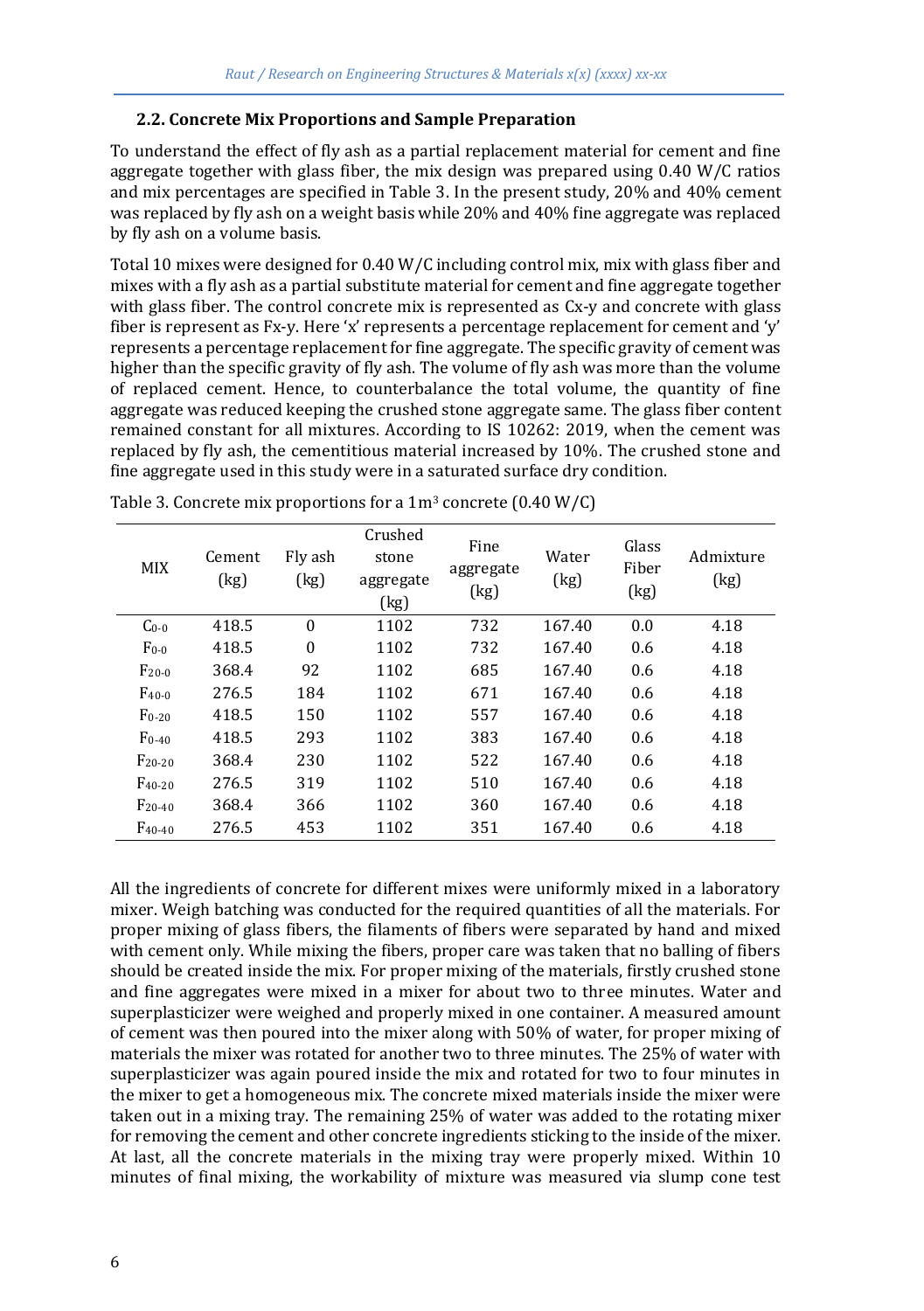## **2.2. Concrete Mix Proportions and Sample Preparation**

To understand the effect of fly ash as a partial replacement material for cement and fine aggregate together with glass fiber, the mix design was prepared using 0.40 W/C ratios and mix percentages are specified in Table 3. In the present study, 20% and 40% cement was replaced by fly ash on a weight basis while 20% and 40% fine aggregate was replaced by fly ash on a volume basis.

Total 10 mixes were designed for 0.40 W/C including control mix, mix with glass fiber and mixes with a fly ash as a partial substitute material for cement and fine aggregate together with glass fiber. The control concrete mix is represented as Cx-y and concrete with glass fiber is represent as Fx-y. Here 'x' represents a percentage replacement for cement and 'y' represents a percentage replacement for fine aggregate. The specific gravity of cement was higher than the specific gravity of fly ash. The volume of fly ash was more than the volume of replaced cement. Hence, to counterbalance the total volume, the quantity of fine aggregate was reduced keeping the crushed stone aggregate same. The glass fiber content remained constant for all mixtures. According to IS 10262: 2019, when the cement was replaced by fly ash, the cementitious material increased by 10%. The crushed stone and fine aggregate used in this study were in a saturated surface dry condition.

| <b>MIX</b>  | Cement<br>(kg) | Fly ash<br>(kg) | Crushed<br>stone<br>aggregate<br>(kg) | Fine<br>aggregate<br>(kg) | Water<br>(kg) | Glass<br>Fiber<br>(kg) | Admixture<br>(kg) |
|-------------|----------------|-----------------|---------------------------------------|---------------------------|---------------|------------------------|-------------------|
| $Co-0$      | 418.5          | $\theta$        | 1102                                  | 732                       | 167.40        | 0.0                    | 4.18              |
| $F_{0-0}$   | 418.5          | $\mathbf{0}$    | 1102                                  | 732                       | 167.40        | 0.6                    | 4.18              |
| $F_{20-0}$  | 368.4          | 92              | 1102                                  | 685                       | 167.40        | 0.6                    | 4.18              |
| $F_{40-0}$  | 276.5          | 184             | 1102                                  | 671                       | 167.40        | 0.6                    | 4.18              |
| $F_{0-20}$  | 418.5          | 150             | 1102                                  | 557                       | 167.40        | 0.6                    | 4.18              |
| $F_{0-40}$  | 418.5          | 293             | 1102                                  | 383                       | 167.40        | 0.6                    | 4.18              |
| $F_{20-20}$ | 368.4          | 230             | 1102                                  | 522                       | 167.40        | 0.6                    | 4.18              |
| $F_{40-20}$ | 276.5          | 319             | 1102                                  | 510                       | 167.40        | 0.6                    | 4.18              |
| $F_{20-40}$ | 368.4          | 366             | 1102                                  | 360                       | 167.40        | 0.6                    | 4.18              |
| $F_{40-40}$ | 276.5          | 453             | 1102                                  | 351                       | 167.40        | 0.6                    | 4.18              |

Table 3. Concrete mix proportions for a  $1m^3$  concrete (0.40 W/C)

All the ingredients of concrete for different mixes were uniformly mixed in a laboratory mixer. Weigh batching was conducted for the required quantities of all the materials. For proper mixing of glass fibers, the filaments of fibers were separated by hand and mixed with cement only. While mixing the fibers, proper care was taken that no balling of fibers should be created inside the mix. For proper mixing of the materials, firstly crushed stone and fine aggregates were mixed in a mixer for about two to three minutes. Water and superplasticizer were weighed and properly mixed in one container. A measured amount of cement was then poured into the mixer along with 50% of water, for proper mixing of materials the mixer was rotated for another two to three minutes. The 25% of water with superplasticizer was again poured inside the mix and rotated for two to four minutes in the mixer to get a homogeneous mix. The concrete mixed materials inside the mixer were taken out in a mixing tray. The remaining 25% of water was added to the rotating mixer for removing the cement and other concrete ingredients sticking to the inside of the mixer. At last, all the concrete materials in the mixing tray were properly mixed. Within 10 minutes of final mixing, the workability of mixture was measured via slump cone test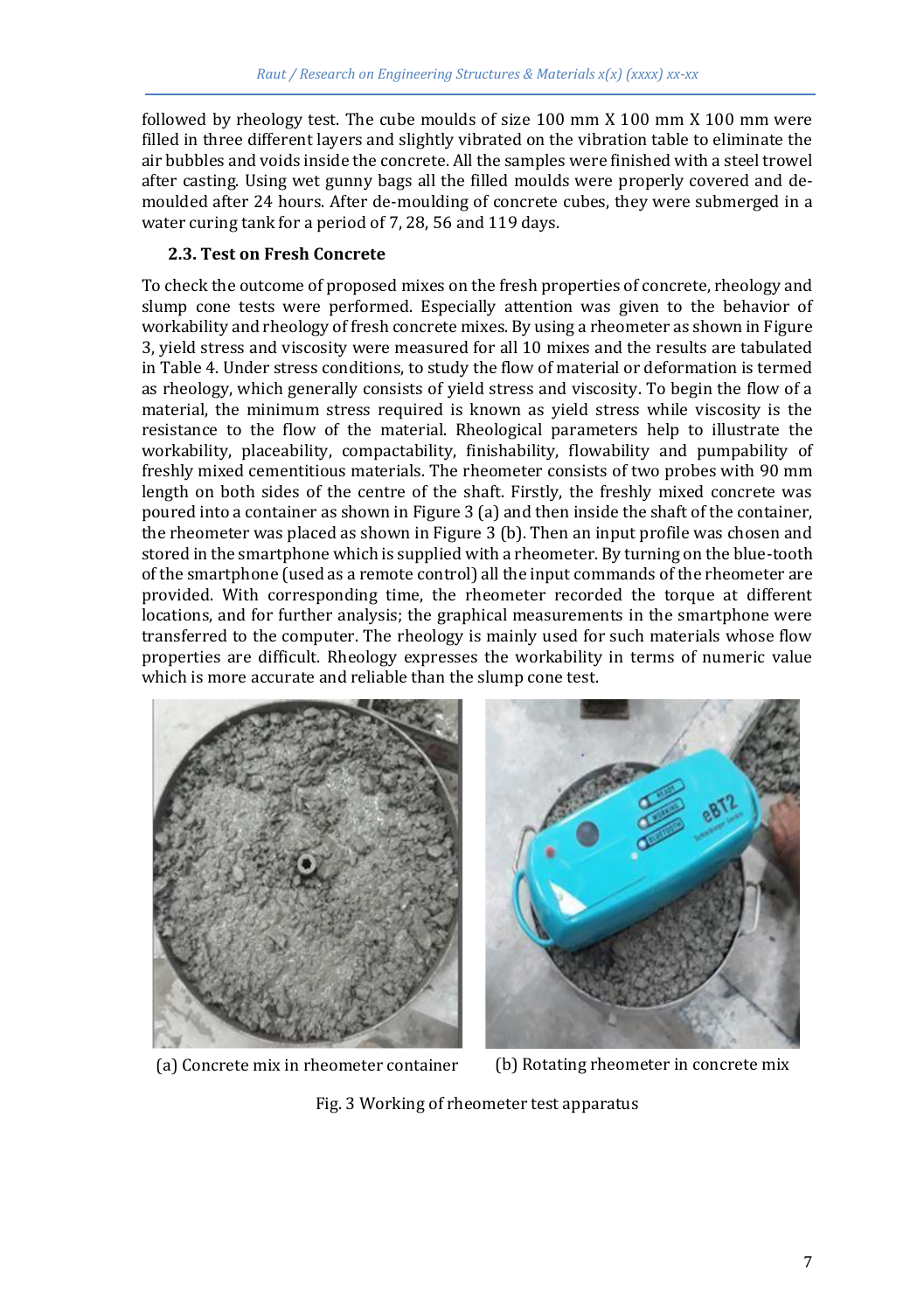followed by rheology test. The cube moulds of size 100 mm X 100 mm X 100 mm were filled in three different layers and slightly vibrated on the vibration table to eliminate the air bubbles and voids inside the concrete. All the samples were finished with a steel trowel after casting. Using wet gunny bags all the filled moulds were properly covered and demoulded after 24 hours. After de-moulding of concrete cubes, they were submerged in a water curing tank for a period of 7, 28, 56 and 119 days.

### **2.3. Test on Fresh Concrete**

To check the outcome of proposed mixes on the fresh properties of concrete, rheology and slump cone tests were performed. Especially attention was given to the behavior of workability and rheology of fresh concrete mixes. By using a rheometer as shown in Figure 3, yield stress and viscosity were measured for all 10 mixes and the results are tabulated in Table 4. Under stress conditions, to study the flow of material or deformation is termed as rheology, which generally consists of yield stress and viscosity. To begin the flow of a material, the minimum stress required is known as yield stress while viscosity is the resistance to the flow of the material. Rheological parameters help to illustrate the workability, placeability, compactability, finishability, flowability and pumpability of freshly mixed cementitious materials. The rheometer consists of two probes with 90 mm length on both sides of the centre of the shaft. Firstly, the freshly mixed concrete was poured into a container as shown in Figure 3 (a) and then inside the shaft of the container, the rheometer was placed as shown in Figure 3 (b). Then an input profile was chosen and stored in the smartphone which is supplied with a rheometer. By turning on the blue-tooth of the smartphone (used as a remote control) all the input commands of the rheometer are provided. With corresponding time, the rheometer recorded the torque at different locations, and for further analysis; the graphical measurements in the smartphone were transferred to the computer. The rheology is mainly used for such materials whose flow properties are difficult. Rheology expresses the workability in terms of numeric value which is more accurate and reliable than the slump cone test.



(a) Concrete mix in rheometer container (b) Rotating rheometer in concrete mix

Fig. 3 Working of rheometer test apparatus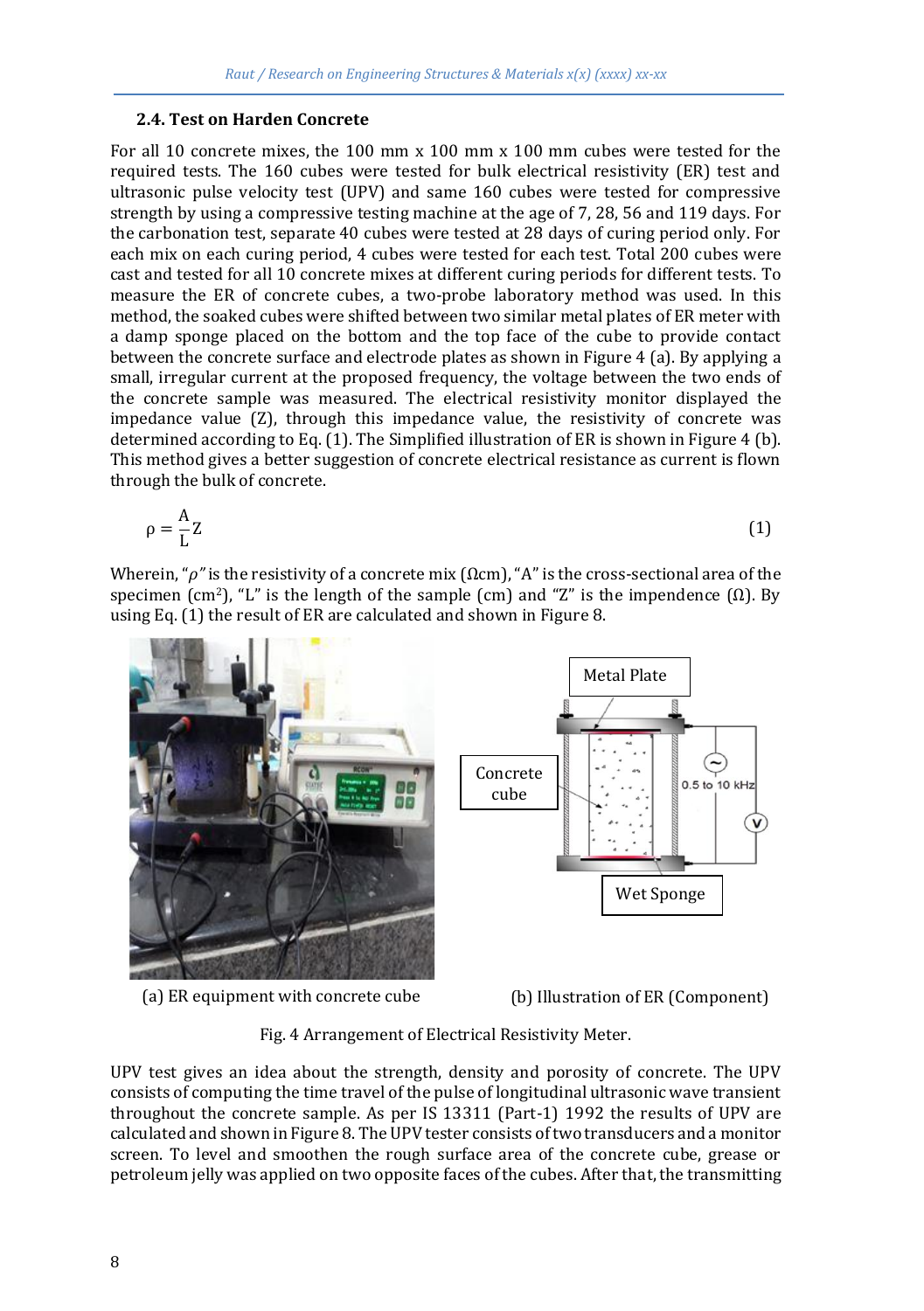#### **2.4. Test on Harden Concrete**

For all 10 concrete mixes, the 100 mm x 100 mm x 100 mm cubes were tested for the required tests. The 160 cubes were tested for bulk electrical resistivity (ER) test and ultrasonic pulse velocity test (UPV) and same 160 cubes were tested for compressive strength by using a compressive testing machine at the age of 7, 28, 56 and 119 days. For the carbonation test, separate 40 cubes were tested at 28 days of curing period only. For each mix on each curing period, 4 cubes were tested for each test. Total 200 cubes were cast and tested for all 10 concrete mixes at different curing periods for different tests. To measure the ER of concrete cubes, a two-probe laboratory method was used. In this method, the soaked cubes were shifted between two similar metal plates of ER meter with a damp sponge placed on the bottom and the top face of the cube to provide contact between the concrete surface and electrode plates as shown in Figure 4 (a). By applying a small, irregular current at the proposed frequency, the voltage between the two ends of the concrete sample was measured. The electrical resistivity monitor displayed the impedance value (Z), through this impedance value, the resistivity of concrete was determined according to Eq. (1). The Simplified illustration of ER is shown in Figure 4 (b). This method gives a better suggestion of concrete electrical resistance as current is flown through the bulk of concrete.

$$
\rho = \frac{A}{L}Z\tag{1}
$$

Wherein, "*ρ"* is the resistivity of a concrete mix (Ωcm), "A" is the cross-sectional area of the specimen (cm<sup>2</sup>), "L" is the length of the sample (cm) and "Z" is the impendence (Ω). By using Eq. (1) the result of ER are calculated and shown in Figure 8.



(a) ER equipment with concrete cube (b) Illustration of ER (Component)

Fig. 4 Arrangement of Electrical Resistivity Meter.

UPV test gives an idea about the strength, density and porosity of concrete. The UPV consists of computing the time travel of the pulse of longitudinal ultrasonic wave transient throughout the concrete sample. As per IS 13311 (Part-1) 1992 the results of UPV are calculated and shown in Figure 8. The UPV tester consists of two transducers and a monitor screen. To level and smoothen the rough surface area of the concrete cube, grease or petroleum jelly was applied on two opposite faces of the cubes. After that, the transmitting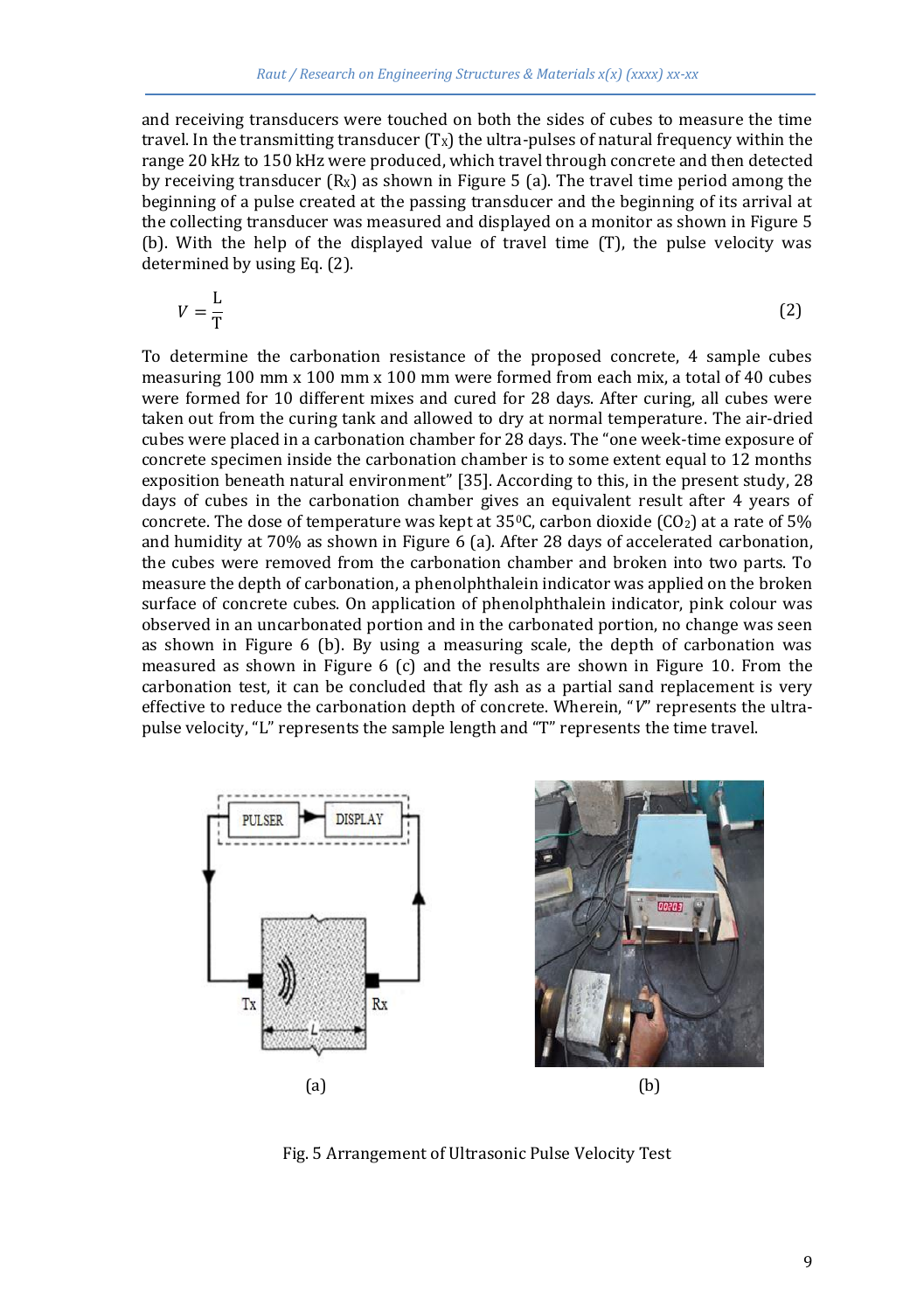and receiving transducers were touched on both the sides of cubes to measure the time travel. In the transmitting transducer  $(T_X)$  the ultra-pulses of natural frequency within the range 20 kHz to 150 kHz were produced, which travel through concrete and then detected by receiving transducer  $(R<sub>x</sub>)$  as shown in Figure 5 (a). The travel time period among the beginning of a pulse created at the passing transducer and the beginning of its arrival at the collecting transducer was measured and displayed on a monitor as shown in Figure 5 (b). With the help of the displayed value of travel time (T), the pulse velocity was determined by using Eq. (2).

$$
V = \frac{L}{T}
$$
 (2)

To determine the carbonation resistance of the proposed concrete, 4 sample cubes measuring 100 mm x 100 mm x 100 mm were formed from each mix, a total of 40 cubes were formed for 10 different mixes and cured for 28 days. After curing, all cubes were taken out from the curing tank and allowed to dry at normal temperature. The air-dried cubes were placed in a carbonation chamber for 28 days. The "one week-time exposure of concrete specimen inside the carbonation chamber is to some extent equal to 12 months exposition beneath natural environment" [35]. According to this, in the present study, 28 days of cubes in the carbonation chamber gives an equivalent result after 4 years of concrete. The dose of temperature was kept at  $35^{\circ}$ C, carbon dioxide (CO<sub>2</sub>) at a rate of 5% and humidity at 70% as shown in Figure 6 (a). After 28 days of accelerated carbonation, the cubes were removed from the carbonation chamber and broken into two parts. To measure the depth of carbonation, a phenolphthalein indicator was applied on the broken surface of concrete cubes. On application of phenolphthalein indicator, pink colour was observed in an uncarbonated portion and in the carbonated portion, no change was seen as shown in Figure 6 (b). By using a measuring scale, the depth of carbonation was measured as shown in Figure 6 (c) and the results are shown in Figure 10. From the carbonation test, it can be concluded that fly ash as a partial sand replacement is very effective to reduce the carbonation depth of concrete. Wherein, "*V*" represents the ultrapulse velocity, "L" represents the sample length and "T" represents the time travel.



Fig. 5 Arrangement of Ultrasonic Pulse Velocity Test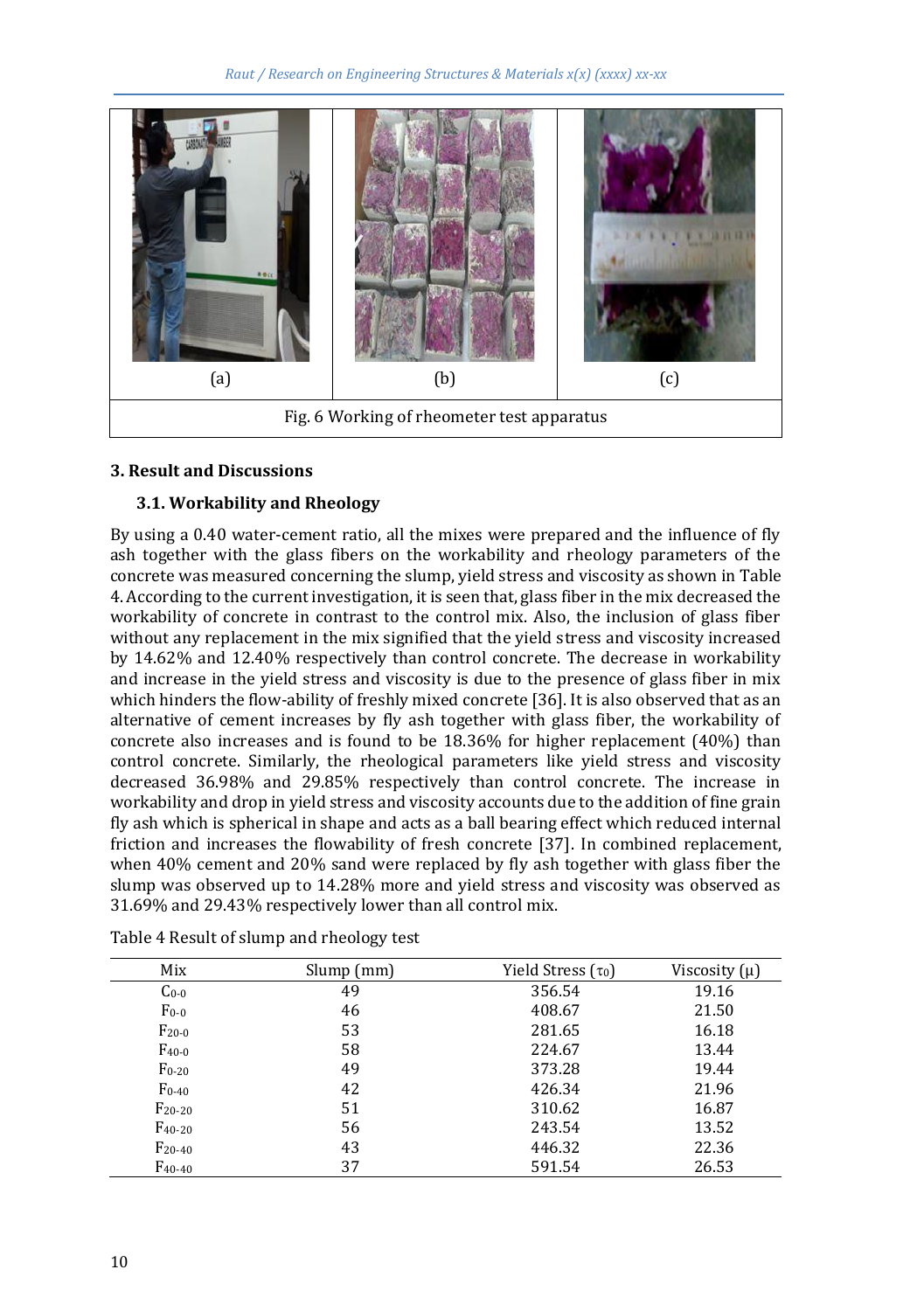

## **3. Result and Discussions**

## **3.1. Workability and Rheology**

By using a 0.40 water-cement ratio, all the mixes were prepared and the influence of fly ash together with the glass fibers on the workability and rheology parameters of the concrete was measured concerning the slump, yield stress and viscosity as shown in Table 4. According to the current investigation, it is seen that, glass fiber in the mix decreased the workability of concrete in contrast to the control mix. Also, the inclusion of glass fiber without any replacement in the mix signified that the yield stress and viscosity increased by 14.62% and 12.40% respectively than control concrete. The decrease in workability and increase in the yield stress and viscosity is due to the presence of glass fiber in mix which hinders the flow-ability of freshly mixed concrete [36]. It is also observed that as an alternative of cement increases by fly ash together with glass fiber, the workability of concrete also increases and is found to be 18.36% for higher replacement (40%) than control concrete. Similarly, the rheological parameters like yield stress and viscosity decreased 36.98% and 29.85% respectively than control concrete. The increase in workability and drop in yield stress and viscosity accounts due to the addition of fine grain fly ash which is spherical in shape and acts as a ball bearing effect which reduced internal friction and increases the flowability of fresh concrete [37]. In combined replacement, when 40% cement and 20% sand were replaced by fly ash together with glass fiber the slump was observed up to 14.28% more and yield stress and viscosity was observed as 31.69% and 29.43% respectively lower than all control mix.

| Mix         | $Slump$ (mm) | Yield Stress $(\tau_0)$ | Viscosity $(\mu)$ |
|-------------|--------------|-------------------------|-------------------|
| $Co-0$      | 49           | 356.54                  | 19.16             |
| $F_{0-0}$   | 46           | 408.67                  | 21.50             |
| $F_{20-0}$  | 53           | 281.65                  | 16.18             |
| $F_{40-0}$  | 58           | 224.67                  | 13.44             |
| $F_{0-20}$  | 49           | 373.28                  | 19.44             |
| $F_{0-40}$  | 42           | 426.34                  | 21.96             |
| $F_{20-20}$ | 51           | 310.62                  | 16.87             |
| $F_{40-20}$ | 56           | 243.54                  | 13.52             |
| $F_{20-40}$ | 43           | 446.32                  | 22.36             |
| $F_{40-40}$ | 37           | 591.54                  | 26.53             |

Table 4 Result of slump and rheology test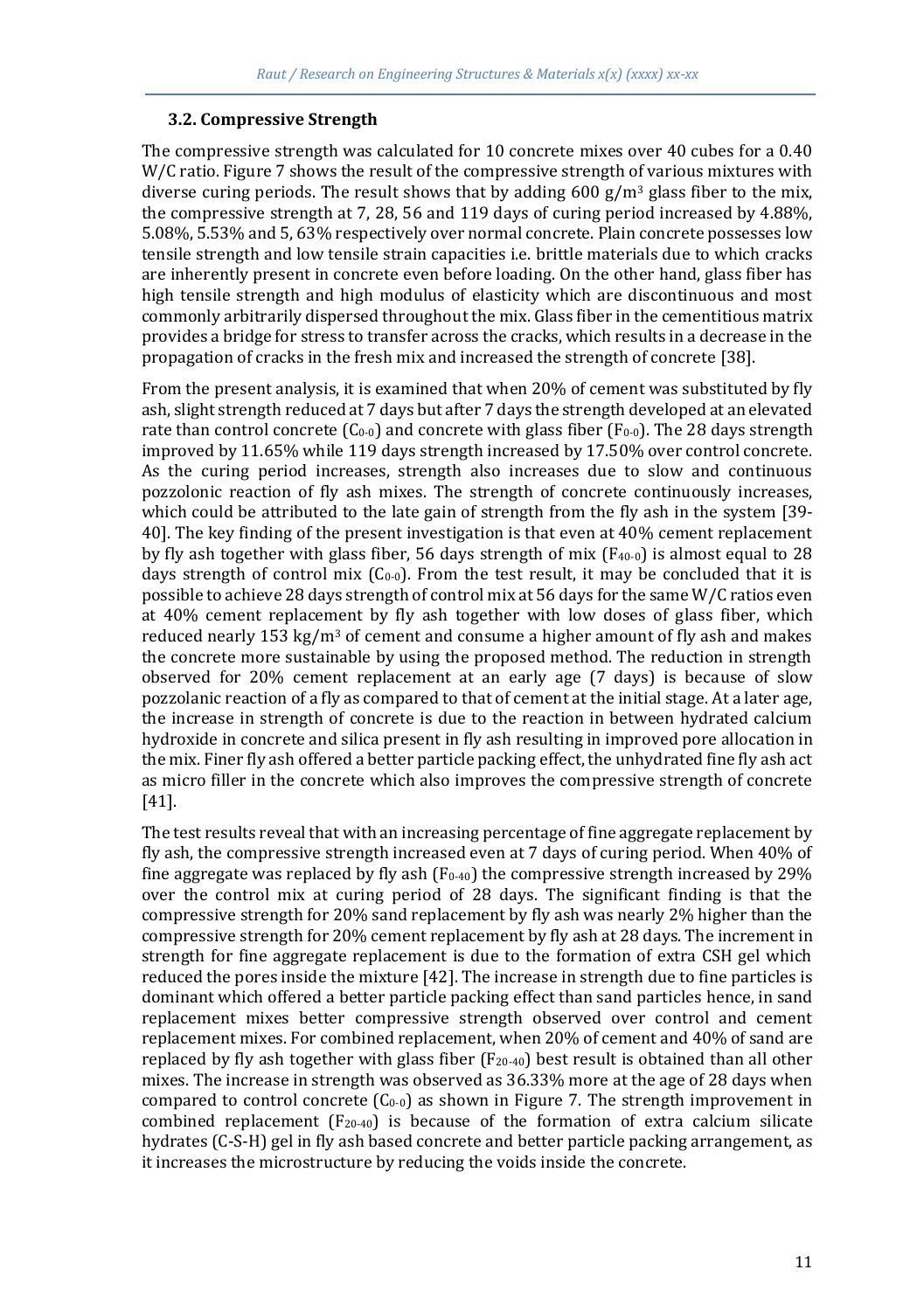### **3.2. Compressive Strength**

The compressive strength was calculated for 10 concrete mixes over 40 cubes for a 0.40 W/C ratio. Figure 7 shows the result of the compressive strength of various mixtures with diverse curing periods. The result shows that by adding 600  $g/m^3$  glass fiber to the mix, the compressive strength at 7, 28, 56 and 119 days of curing period increased by 4.88%, 5.08%, 5.53% and 5, 63% respectively over normal concrete. Plain concrete possesses low tensile strength and low tensile strain capacities i.e. brittle materials due to which cracks are inherently present in concrete even before loading. On the other hand, glass fiber has high tensile strength and high modulus of elasticity which are discontinuous and most commonly arbitrarily dispersed throughout the mix. Glass fiber in the cementitious matrix provides a bridge for stress to transfer across the cracks, which results in a decrease in the propagation of cracks in the fresh mix and increased the strength of concrete [38].

From the present analysis, it is examined that when 20% of cement was substituted by fly ash, slight strength reduced at 7 days but after 7 days the strength developed at an elevated rate than control concrete  $(C_{0-0})$  and concrete with glass fiber  $(F_{0-0})$ . The 28 days strength improved by 11.65% while 119 days strength increased by 17.50% over control concrete. As the curing period increases, strength also increases due to slow and continuous pozzolonic reaction of fly ash mixes. The strength of concrete continuously increases, which could be attributed to the late gain of strength from the fly ash in the system [39- 40]. The key finding of the present investigation is that even at 40% cement replacement by fly ash together with glass fiber, 56 days strength of mix  $(F_{40-0})$  is almost equal to 28 days strength of control mix  $(C_0, 0)$ . From the test result, it may be concluded that it is possible to achieve 28 days strength of control mix at 56 days for the same W/C ratios even at 40% cement replacement by fly ash together with low doses of glass fiber, which reduced nearly 153 kg/m<sup>3</sup> of cement and consume a higher amount of fly ash and makes the concrete more sustainable by using the proposed method. The reduction in strength observed for 20% cement replacement at an early age (7 days) is because of slow pozzolanic reaction of a fly as compared to that of cement at the initial stage. At a later age, the increase in strength of concrete is due to the reaction in between hydrated calcium hydroxide in concrete and silica present in fly ash resulting in improved pore allocation in the mix. Finer fly ash offered a better particle packing effect, the unhydrated fine fly ash act as micro filler in the concrete which also improves the compressive strength of concrete [41].

The test results reveal that with an increasing percentage of fine aggregate replacement by fly ash, the compressive strength increased even at 7 days of curing period. When 40% of fine aggregate was replaced by fly ash  $(F<sub>0-40</sub>)$  the compressive strength increased by 29% over the control mix at curing period of 28 days. The significant finding is that the compressive strength for 20% sand replacement by fly ash was nearly 2% higher than the compressive strength for 20% cement replacement by fly ash at 28 days. The increment in strength for fine aggregate replacement is due to the formation of extra CSH gel which reduced the pores inside the mixture [42]. The increase in strength due to fine particles is dominant which offered a better particle packing effect than sand particles hence, in sand replacement mixes better compressive strength observed over control and cement replacement mixes. For combined replacement, when 20% of cement and 40% of sand are replaced by fly ash together with glass fiber  $(F_{20-40})$  best result is obtained than all other mixes. The increase in strength was observed as 36.33% more at the age of 28 days when compared to control concrete  $(C_{0-0})$  as shown in Figure 7. The strength improvement in combined replacement  $(F_{20-40})$  is because of the formation of extra calcium silicate hydrates (C-S-H) gel in fly ash based concrete and better particle packing arrangement, as it increases the microstructure by reducing the voids inside the concrete.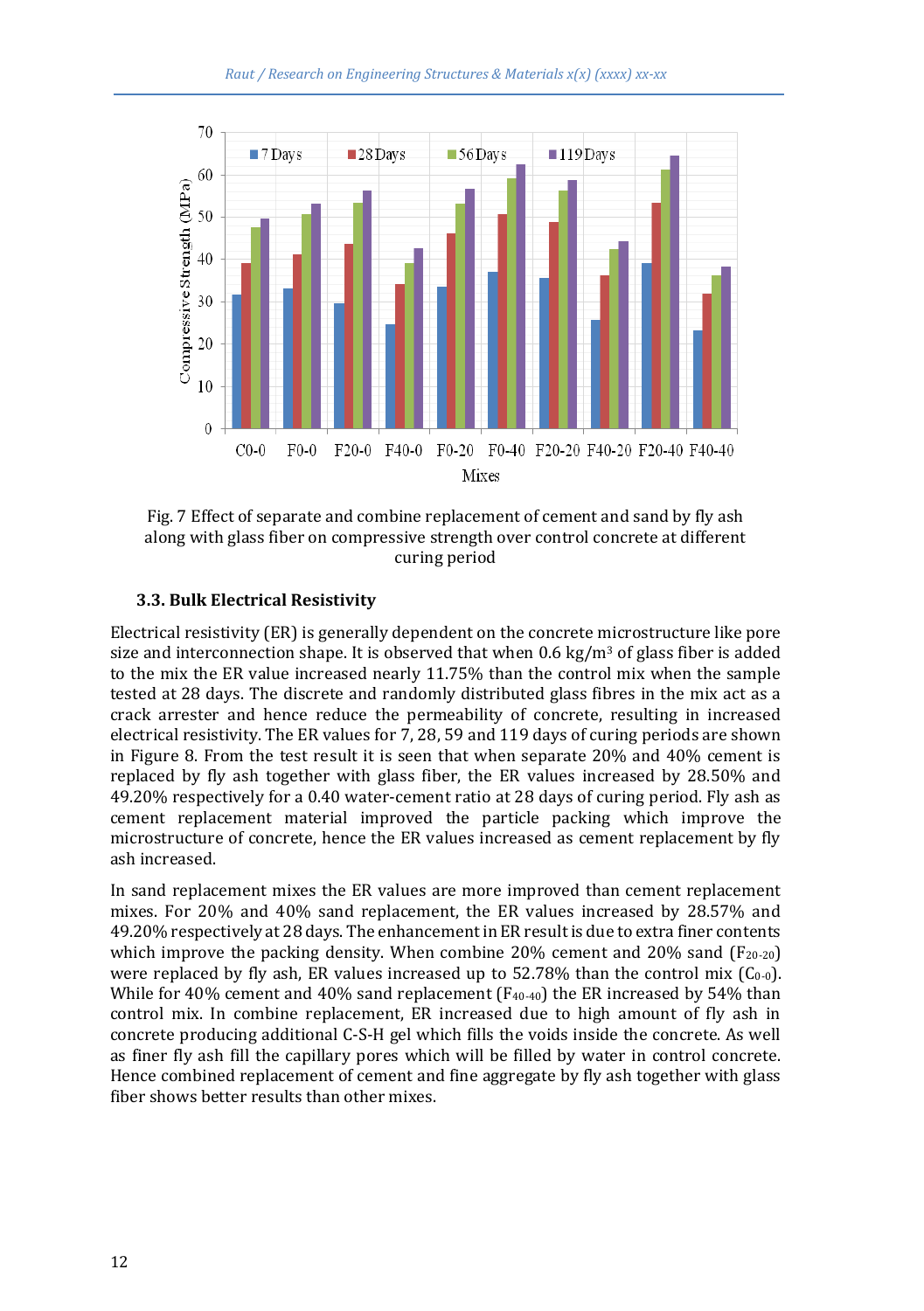

Fig. 7 Effect of separate and combine replacement of cement and sand by fly ash along with glass fiber on compressive strength over control concrete at different curing period

#### **3.3. Bulk Electrical Resistivity**

Electrical resistivity (ER) is generally dependent on the concrete microstructure like pore size and interconnection shape. It is observed that when 0.6 kg/m<sup>3</sup> of glass fiber is added to the mix the ER value increased nearly 11.75% than the control mix when the sample tested at 28 days. The discrete and randomly distributed glass fibres in the mix act as a crack arrester and hence reduce the permeability of concrete, resulting in increased electrical resistivity. The ER values for 7, 28, 59 and 119 days of curing periods are shown in Figure 8. From the test result it is seen that when separate 20% and 40% cement is replaced by fly ash together with glass fiber, the ER values increased by 28.50% and 49.20% respectively for a 0.40 water-cement ratio at 28 days of curing period. Fly ash as cement replacement material improved the particle packing which improve the microstructure of concrete, hence the ER values increased as cement replacement by fly ash increased.

In sand replacement mixes the ER values are more improved than cement replacement mixes. For 20% and 40% sand replacement, the ER values increased by 28.57% and 49.20% respectively at 28 days. The enhancement in ER result is due to extra finer contents which improve the packing density. When combine 20% cement and 20% sand  $(F_{20-20})$ were replaced by fly ash, ER values increased up to  $52.78\%$  than the control mix ( $C_{0-0}$ ). While for 40% cement and 40% sand replacement  $(F_{40-40})$  the ER increased by 54% than control mix. In combine replacement, ER increased due to high amount of fly ash in concrete producing additional C-S-H gel which fills the voids inside the concrete. As well as finer fly ash fill the capillary pores which will be filled by water in control concrete. Hence combined replacement of cement and fine aggregate by fly ash together with glass fiber shows better results than other mixes.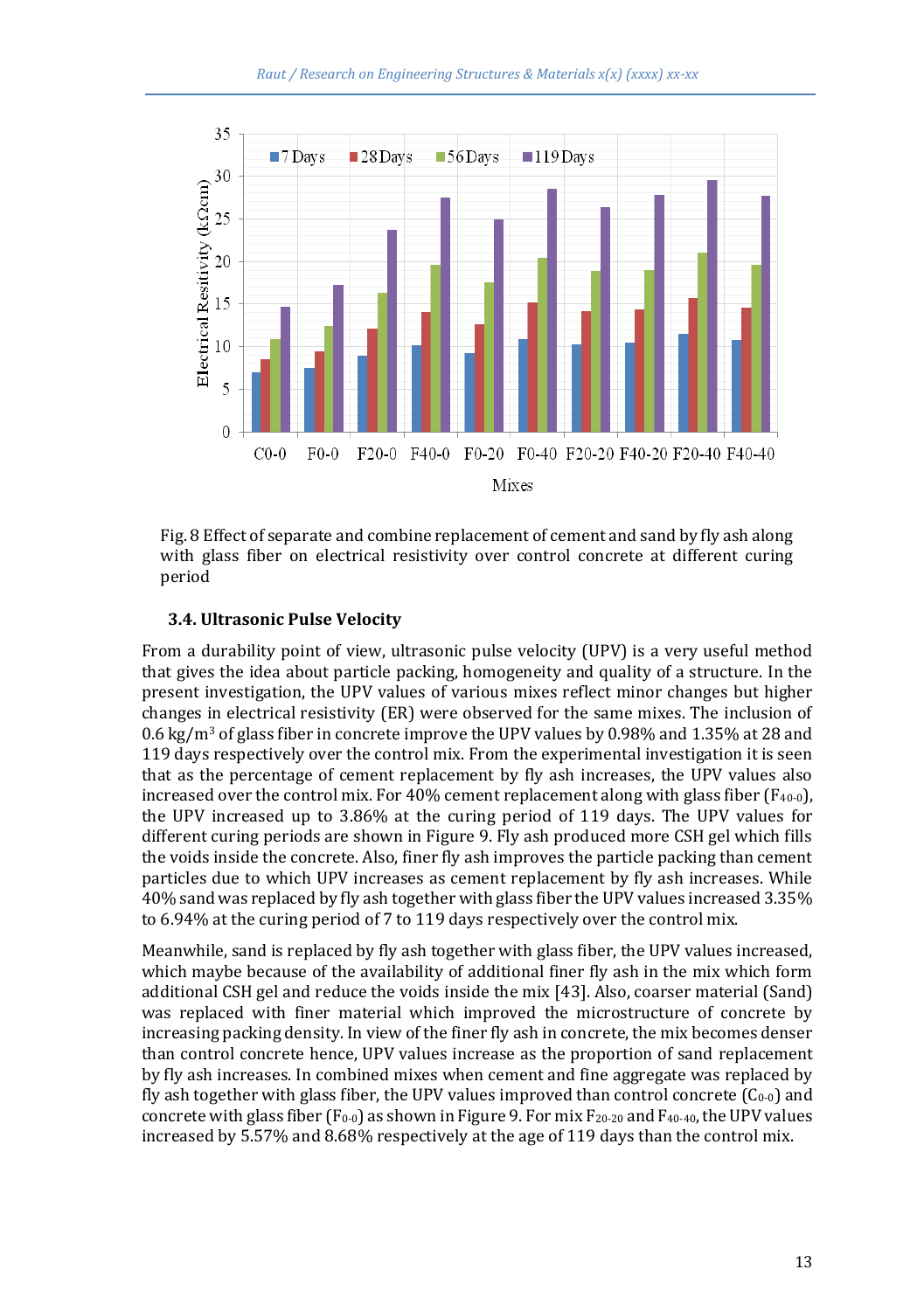

Fig. 8 Effect of separate and combine replacement of cement and sand by fly ash along with glass fiber on electrical resistivity over control concrete at different curing period

#### **3.4. Ultrasonic Pulse Velocity**

From a durability point of view, ultrasonic pulse velocity (UPV) is a very useful method that gives the idea about particle packing, homogeneity and quality of a structure. In the present investigation, the UPV values of various mixes reflect minor changes but higher changes in electrical resistivity (ER) were observed for the same mixes. The inclusion of 0.6 kg/m<sup>3</sup> of glass fiber in concrete improve the UPV values by 0.98% and 1.35% at 28 and 119 days respectively over the control mix. From the experimental investigation it is seen that as the percentage of cement replacement by fly ash increases, the UPV values also increased over the control mix. For  $40\%$  cement replacement along with glass fiber (F<sub>40-0</sub>), the UPV increased up to 3.86% at the curing period of 119 days. The UPV values for different curing periods are shown in Figure 9. Fly ash produced more CSH gel which fills the voids inside the concrete. Also, finer fly ash improves the particle packing than cement particles due to which UPV increases as cement replacement by fly ash increases. While 40% sand was replaced by fly ash together with glass fiber the UPV values increased 3.35% to 6.94% at the curing period of 7 to 119 days respectively over the control mix.

Meanwhile, sand is replaced by fly ash together with glass fiber, the UPV values increased, which maybe because of the availability of additional finer fly ash in the mix which form additional CSH gel and reduce the voids inside the mix [43]. Also, coarser material (Sand) was replaced with finer material which improved the microstructure of concrete by increasing packing density. In view of the finer fly ash in concrete, the mix becomes denser than control concrete hence, UPV values increase as the proportion of sand replacement by fly ash increases. In combined mixes when cement and fine aggregate was replaced by fly ash together with glass fiber, the UPV values improved than control concrete  $(C_{0-0})$  and concrete with glass fiber  $(F_0, 0)$  as shown in Figure 9. For mix  $F_{20-20}$  and  $F_{40-40}$ , the UPV values increased by 5.57% and 8.68% respectively at the age of 119 days than the control mix.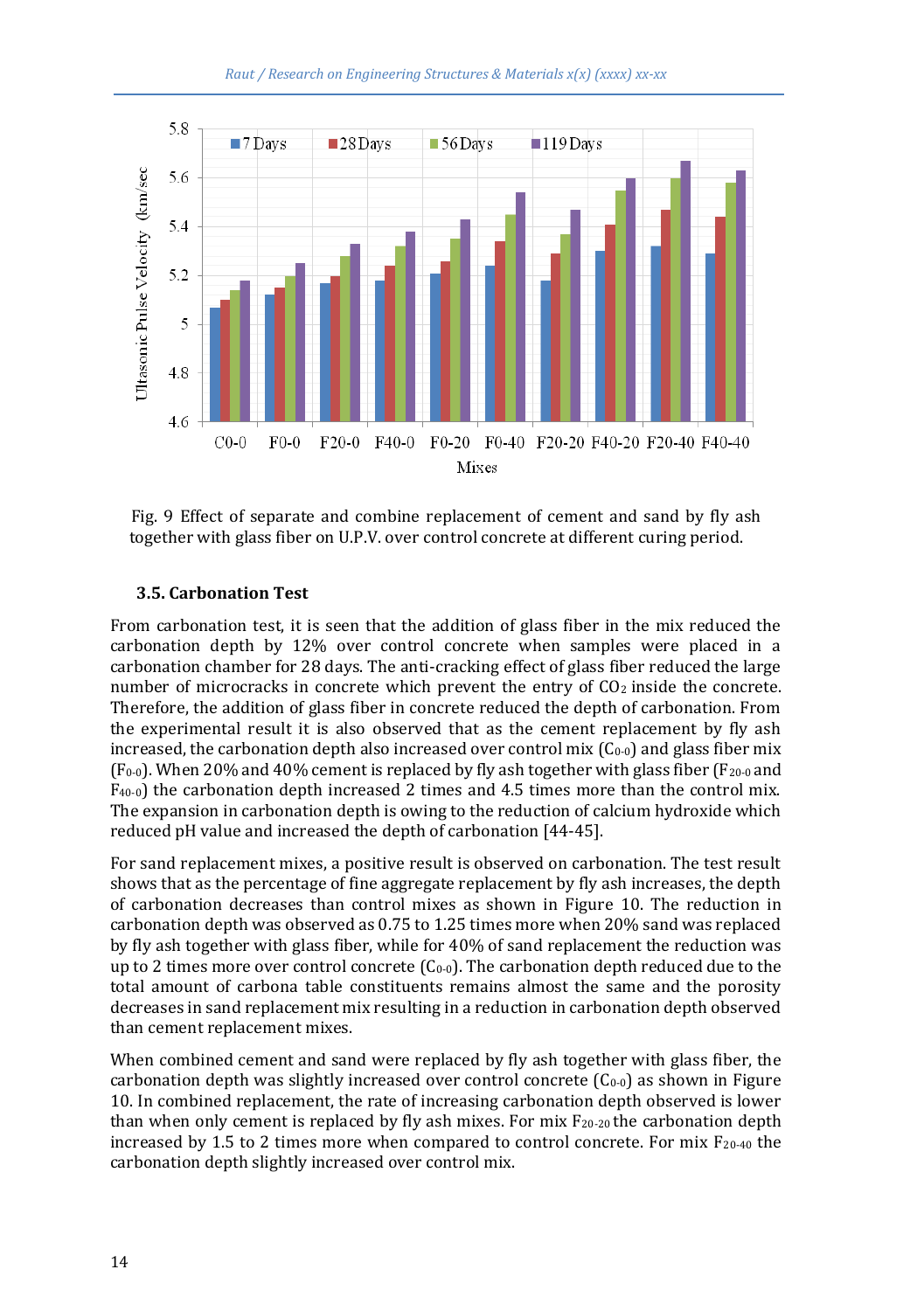

Fig. 9 Effect of separate and combine replacement of cement and sand by fly ash together with glass fiber on U.P.V. over control concrete at different curing period.

#### **3.5. Carbonation Test**

From carbonation test, it is seen that the addition of glass fiber in the mix reduced the carbonation depth by 12% over control concrete when samples were placed in a carbonation chamber for 28 days. The anti-cracking effect of glass fiber reduced the large number of microcracks in concrete which prevent the entry of  $CO<sub>2</sub>$  inside the concrete. Therefore, the addition of glass fiber in concrete reduced the depth of carbonation. From the experimental result it is also observed that as the cement replacement by fly ash increased, the carbonation depth also increased over control mix  $(C_0, 0)$  and glass fiber mix  $(F<sub>0-0</sub>)$ . When 20% and 40% cement is replaced by fly ash together with glass fiber  $(F<sub>20-0</sub>$  and  $F_{40-0}$ ) the carbonation depth increased 2 times and 4.5 times more than the control mix. The expansion in carbonation depth is owing to the reduction of calcium hydroxide which reduced pH value and increased the depth of carbonation [44-45].

For sand replacement mixes, a positive result is observed on carbonation. The test result shows that as the percentage of fine aggregate replacement by fly ash increases, the depth of carbonation decreases than control mixes as shown in Figure 10. The reduction in carbonation depth was observed as 0.75 to 1.25 times more when 20% sand was replaced by fly ash together with glass fiber, while for 40% of sand replacement the reduction was up to 2 times more over control concrete  $(C_{0-0})$ . The carbonation depth reduced due to the total amount of carbona table constituents remains almost the same and the porosity decreases in sand replacement mix resulting in a reduction in carbonation depth observed than cement replacement mixes.

When combined cement and sand were replaced by fly ash together with glass fiber, the carbonation depth was slightly increased over control concrete  $(C_0, 0)$  as shown in Figure 10. In combined replacement, the rate of increasing carbonation depth observed is lower than when only cement is replaced by fly ash mixes. For mix  $F_{20-20}$  the carbonation depth increased by 1.5 to 2 times more when compared to control concrete. For mix  $F_{20-40}$  the carbonation depth slightly increased over control mix.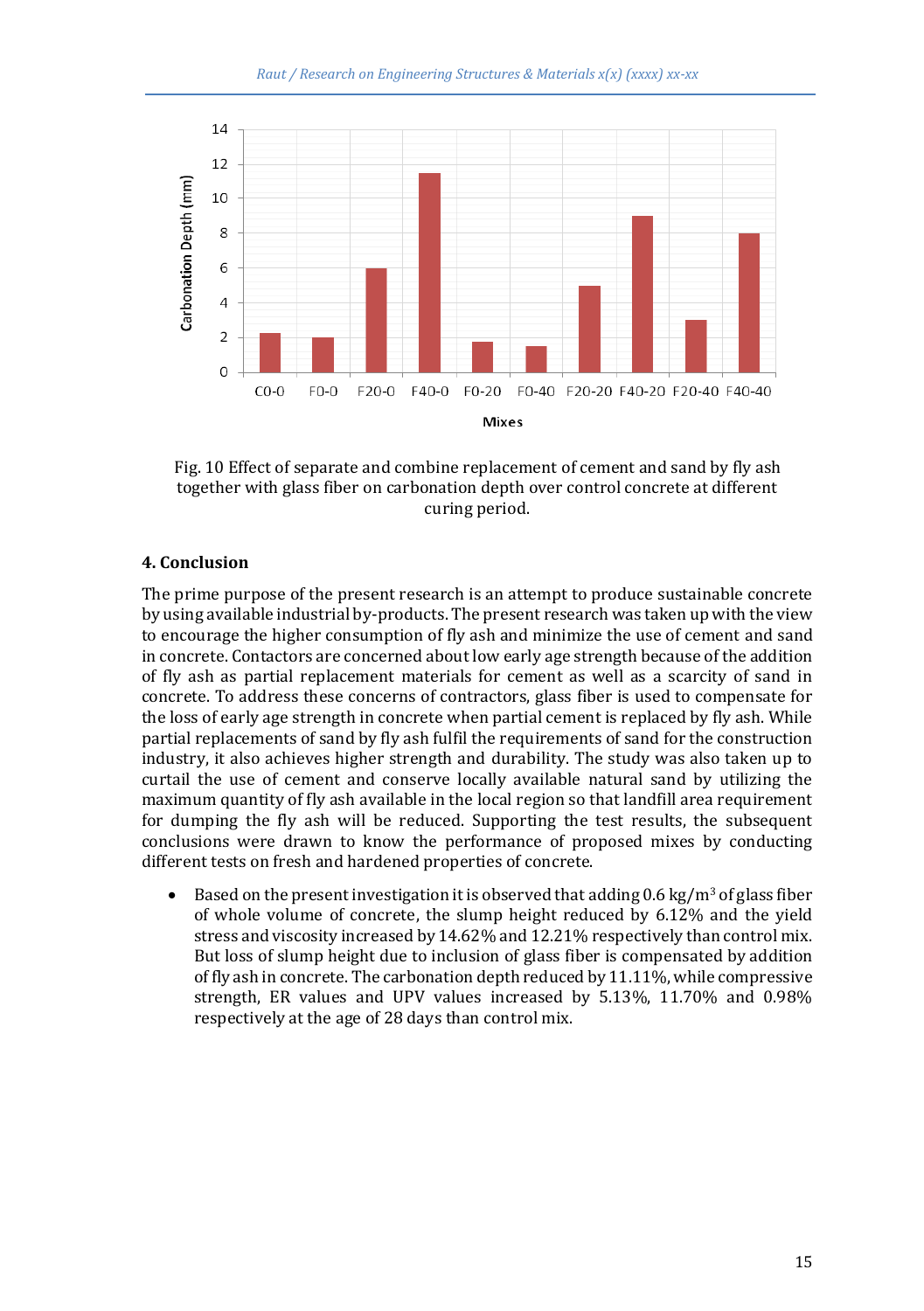

Fig. 10 Effect of separate and combine replacement of cement and sand by fly ash together with glass fiber on carbonation depth over control concrete at different curing period.

#### **4. Conclusion**

The prime purpose of the present research is an attempt to produce sustainable concrete by using available industrial by-products. The present research was taken up with the view to encourage the higher consumption of fly ash and minimize the use of cement and sand in concrete. Contactors are concerned about low early age strength because of the addition of fly ash as partial replacement materials for cement as well as a scarcity of sand in concrete. To address these concerns of contractors, glass fiber is used to compensate for the loss of early age strength in concrete when partial cement is replaced by fly ash. While partial replacements of sand by fly ash fulfil the requirements of sand for the construction industry, it also achieves higher strength and durability. The study was also taken up to curtail the use of cement and conserve locally available natural sand by utilizing the maximum quantity of fly ash available in the local region so that landfill area requirement for dumping the fly ash will be reduced. Supporting the test results, the subsequent conclusions were drawn to know the performance of proposed mixes by conducting different tests on fresh and hardened properties of concrete.

Based on the present investigation it is observed that adding  $0.6 \text{ kg/m}^3$  of glass fiber of whole volume of concrete, the slump height reduced by 6.12% and the yield stress and viscosity increased by 14.62% and 12.21% respectively than control mix. But loss of slump height due to inclusion of glass fiber is compensated by addition of fly ash in concrete. The carbonation depth reduced by 11.11%, while compressive strength, ER values and UPV values increased by 5.13%, 11.70% and 0.98% respectively at the age of 28 days than control mix.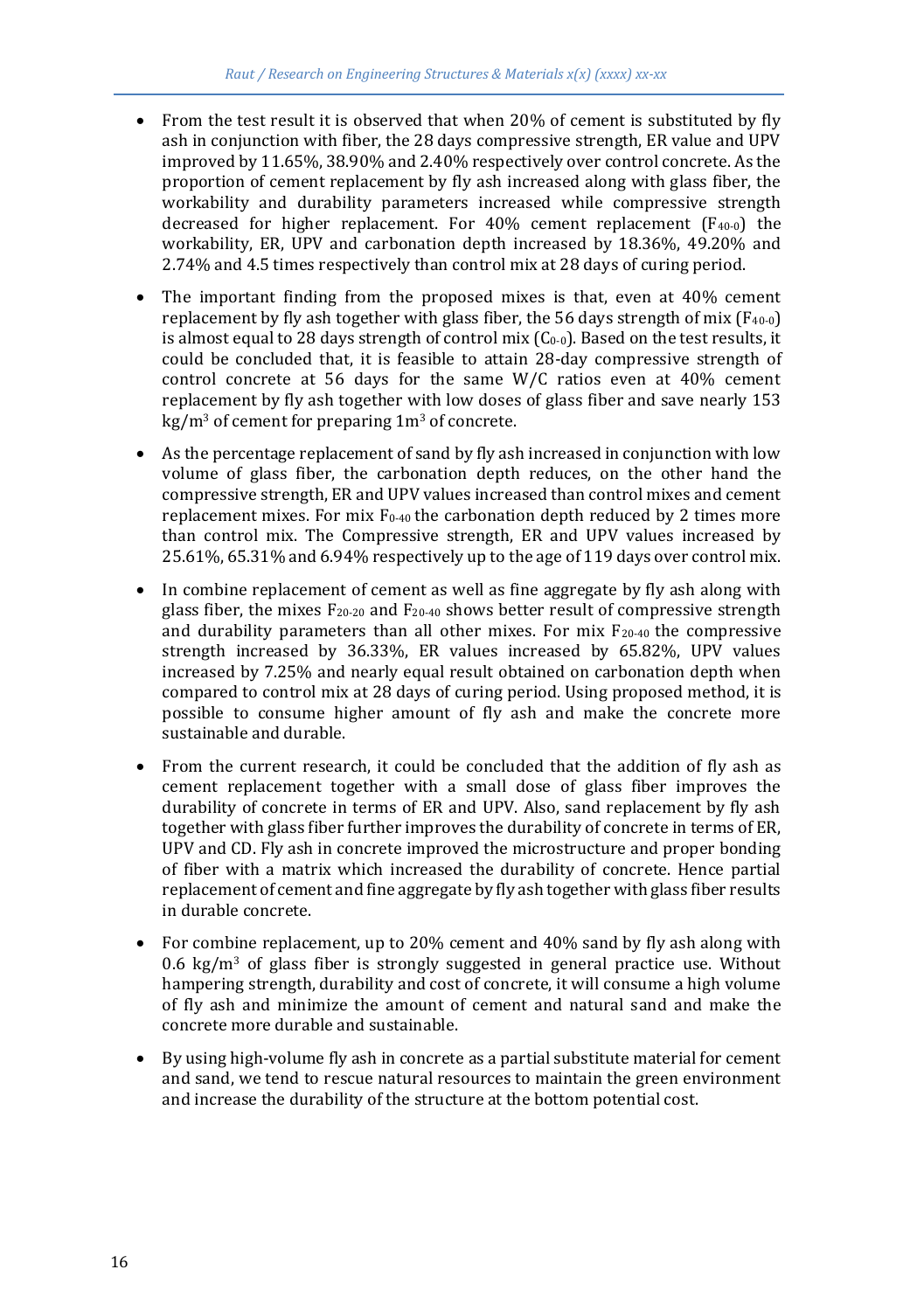- From the test result it is observed that when 20% of cement is substituted by fly ash in conjunction with fiber, the 28 days compressive strength, ER value and UPV improved by 11.65%, 38.90% and 2.40% respectively over control concrete. As the proportion of cement replacement by fly ash increased along with glass fiber, the workability and durability parameters increased while compressive strength decreased for higher replacement. For 40% cement replacement  $(F_{40-0})$  the workability, ER, UPV and carbonation depth increased by 18.36%, 49.20% and 2.74% and 4.5 times respectively than control mix at 28 days of curing period.
- The important finding from the proposed mixes is that, even at  $40\%$  cement replacement by fly ash together with glass fiber, the 56 days strength of mix  $(F_{40-0})$ is almost equal to 28 days strength of control mix  $(C_{0-0})$ . Based on the test results, it could be concluded that, it is feasible to attain 28-day compressive strength of control concrete at 56 days for the same W/C ratios even at 40% cement replacement by fly ash together with low doses of glass fiber and save nearly 153  $kg/m<sup>3</sup>$  of cement for preparing  $1m<sup>3</sup>$  of concrete.
- As the percentage replacement of sand by fly ash increased in conjunction with low volume of glass fiber, the carbonation depth reduces, on the other hand the compressive strength, ER and UPV values increased than control mixes and cement replacement mixes. For mix F<sub>0-40</sub> the carbonation depth reduced by 2 times more than control mix. The Compressive strength, ER and UPV values increased by 25.61%, 65.31% and 6.94% respectively up to the age of 119 days over control mix.
- In combine replacement of cement as well as fine aggregate by fly ash along with glass fiber, the mixes  $F_{20-20}$  and  $F_{20-40}$  shows better result of compressive strength and durability parameters than all other mixes. For mix  $F_{20-40}$  the compressive strength increased by 36.33%, ER values increased by 65.82%, UPV values increased by 7.25% and nearly equal result obtained on carbonation depth when compared to control mix at 28 days of curing period. Using proposed method, it is possible to consume higher amount of fly ash and make the concrete more sustainable and durable.
- From the current research, it could be concluded that the addition of fly ash as cement replacement together with a small dose of glass fiber improves the durability of concrete in terms of ER and UPV. Also, sand replacement by fly ash together with glass fiber further improves the durability of concrete in terms of ER, UPV and CD. Fly ash in concrete improved the microstructure and proper bonding of fiber with a matrix which increased the durability of concrete. Hence partial replacement of cement and fine aggregate by fly ash together with glass fiber results in durable concrete.
- For combine replacement, up to 20% cement and 40% sand by fly ash along with 0.6 kg/m<sup>3</sup> of glass fiber is strongly suggested in general practice use. Without hampering strength, durability and cost of concrete, it will consume a high volume of fly ash and minimize the amount of cement and natural sand and make the concrete more durable and sustainable.
- By using high-volume fly ash in concrete as a partial substitute material for cement and sand, we tend to rescue natural resources to maintain the green environment and increase the durability of the structure at the bottom potential cost.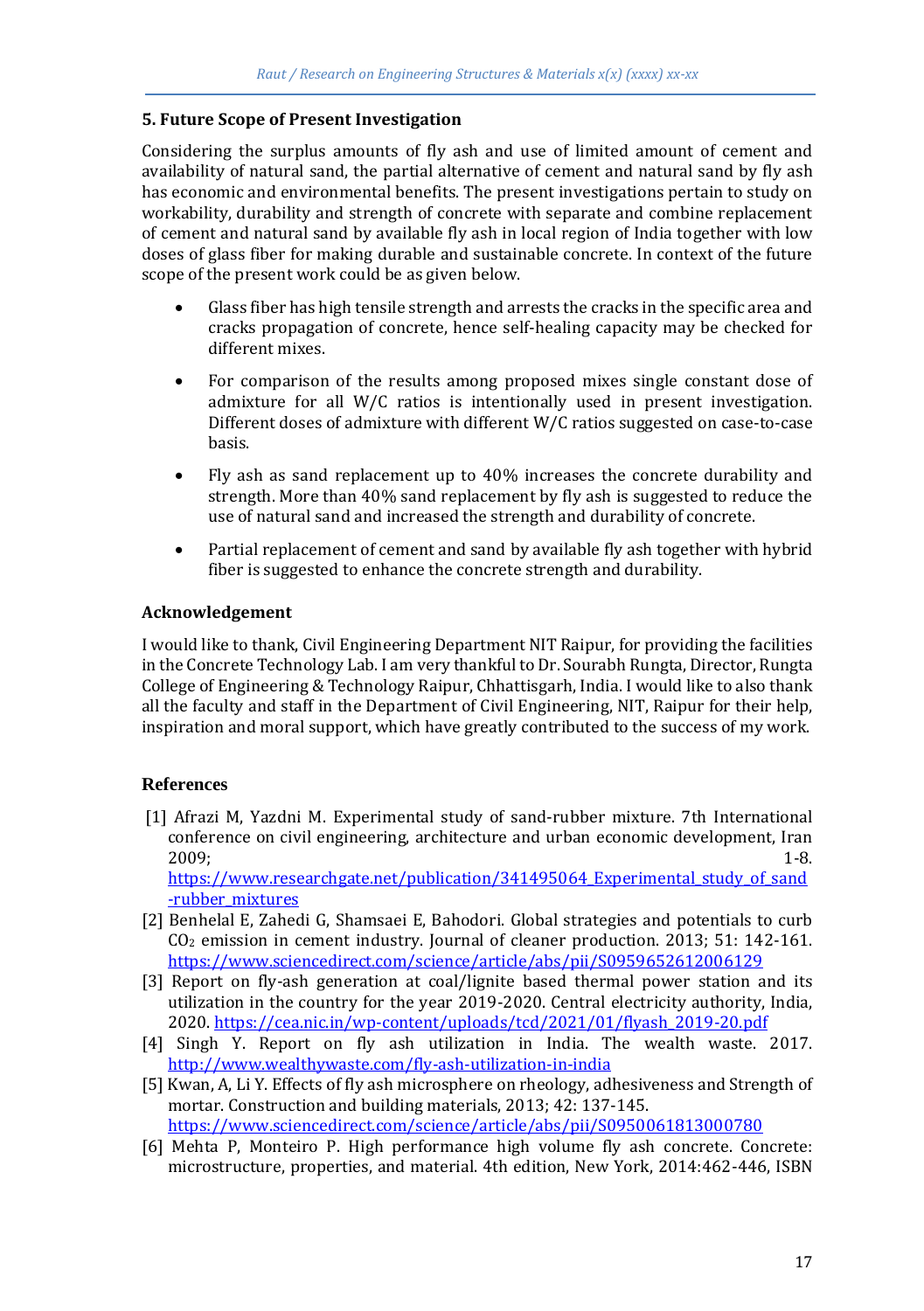## **5. Future Scope of Present Investigation**

Considering the surplus amounts of fly ash and use of limited amount of cement and availability of natural sand, the partial alternative of cement and natural sand by fly ash has economic and environmental benefits. The present investigations pertain to study on workability, durability and strength of concrete with separate and combine replacement of cement and natural sand by available fly ash in local region of India together with low doses of glass fiber for making durable and sustainable concrete. In context of the future scope of the present work could be as given below.

- Glass fiber has high tensile strength and arrests the cracks in the specific area and cracks propagation of concrete, hence self-healing capacity may be checked for different mixes.
- For comparison of the results among proposed mixes single constant dose of admixture for all W/C ratios is intentionally used in present investigation. Different doses of admixture with different W/C ratios suggested on case-to-case basis.
- Fly ash as sand replacement up to 40% increases the concrete durability and strength. More than 40% sand replacement by fly ash is suggested to reduce the use of natural sand and increased the strength and durability of concrete.
- Partial replacement of cement and sand by available fly ash together with hybrid fiber is suggested to enhance the concrete strength and durability.

## **Acknowledgement**

I would like to thank, Civil Engineering Department NIT Raipur, for providing the facilities in the Concrete Technology Lab. I am very thankful to Dr. Sourabh Rungta, Director, Rungta College of Engineering & Technology Raipur, Chhattisgarh, India. I would like to also thank all the faculty and staff in the Department of Civil Engineering, NIT, Raipur for their help, inspiration and moral support, which have greatly contributed to the success of my work.

## **References**

- [1] Afrazi M, Yazdni M. Experimental study of sand-rubber mixture. 7th International conference on civil engineering, architecture and urban economic development, Iran 2009; 1-8. https://www.researchgate.net/publication/341495064 Experimental study of sand [-rubber\\_mixtures](https://www.researchgate.net/publication/341495064_Experimental_study_of_sand-rubber_mixtures)
- [2] Benhelal E, Zahedi G, Shamsaei E, Bahodori. Global strategies and potentials to curb CO<sup>2</sup> emission in cement industry. Journal of cleaner production. 2013; 51: 142-161. <https://www.sciencedirect.com/science/article/abs/pii/S0959652612006129>
- [3] Report on fly-ash generation at coal/lignite based thermal power station and its utilization in the country for the year 2019-2020. Central electricity authority, India, 2020. [https://cea.nic.in/wp-content/uploads/tcd/2021/01/flyash\\_2019-20.pdf](https://cea.nic.in/wp-content/uploads/tcd/2021/01/flyash_2019-20.pdf)
- [4] Singh Y. Report on fly ash utilization in India. The wealth waste. 2017. <http://www.wealthywaste.com/fly-ash-utilization-in-india>
- [5] Kwan, A, Li Y. Effects of fly ash microsphere on rheology, adhesiveness and Strength of mortar. Construction and building materials, 2013; 42: 137-145. <https://www.sciencedirect.com/science/article/abs/pii/S0950061813000780>
- [6] Mehta P, Monteiro P. High performance high volume fly ash concrete. Concrete: microstructure, properties, and material. 4th edition, New York, 2014:462-446, ISBN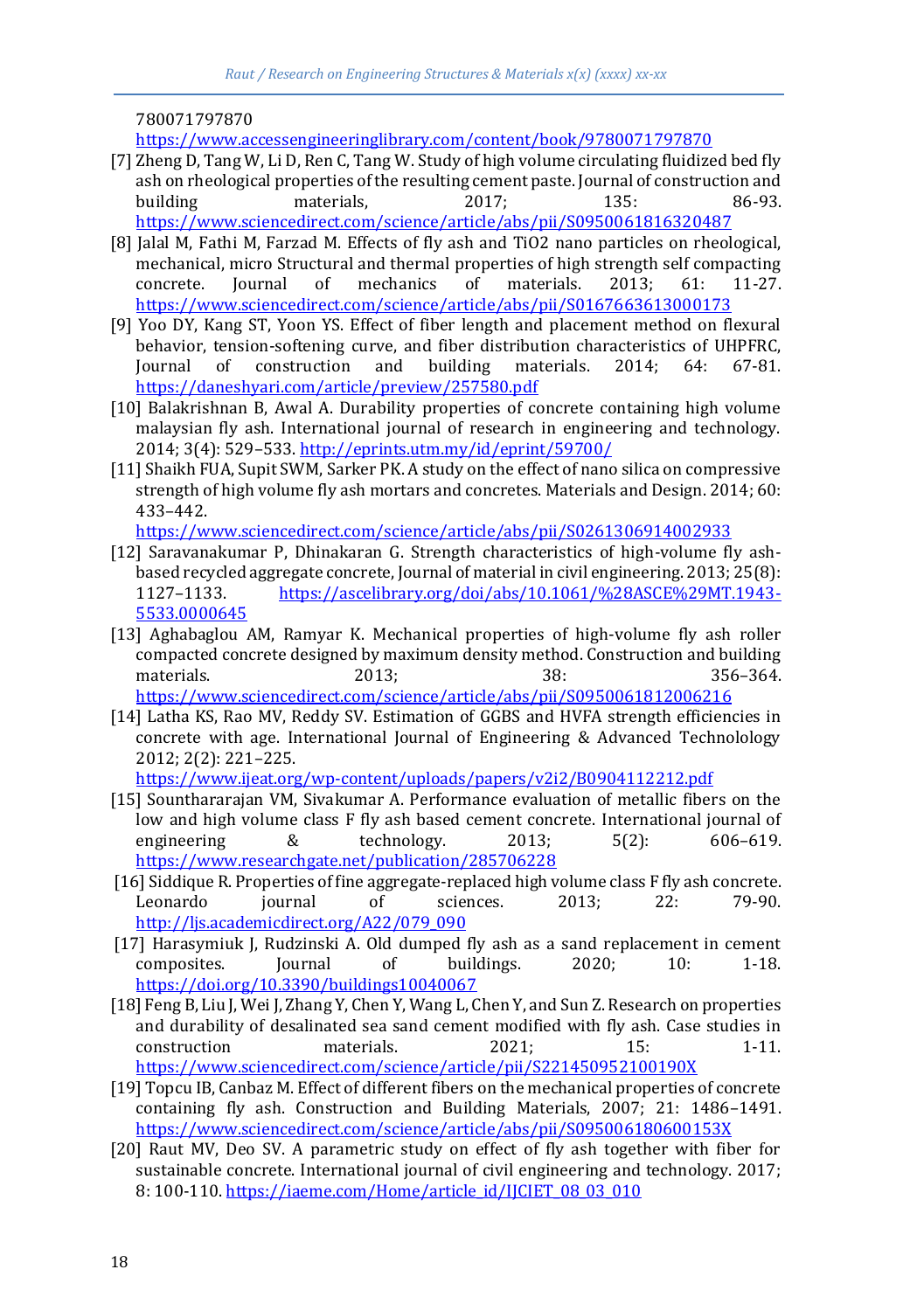780071797870

<https://www.accessengineeringlibrary.com/content/book/9780071797870>

- [7] Zheng D, Tang W, Li D, Ren C, Tang W. Study of high volume circulating fluidized bed fly ash on rheological properties of the resulting cement paste. Journal of construction and building materials, 2017; 135: 86-93. <https://www.sciencedirect.com/science/article/abs/pii/S0950061816320487>
- [8] Jalal M, Fathi M, Farzad M. Effects of fly ash and TiO2 nano particles on rheological, mechanical, micro Structural and thermal properties of high strength self compacting concrete. Journal of mechanics of materials. 2013; 61: 11-27. <https://www.sciencedirect.com/science/article/abs/pii/S0167663613000173>
- [9] Yoo DY, Kang ST, Yoon YS. Effect of fiber length and placement method on flexural behavior, tension-softening curve, and fiber distribution characteristics of UHPFRC, Journal of construction and building materials. 2014; 64: 67-81. <https://daneshyari.com/article/preview/257580.pdf>
- [10] Balakrishnan B, Awal A. Durability properties of concrete containing high volume malaysian fly ash. International journal of research in engineering and technology. 2014; 3(4): 529–533[. http://eprints.utm.my/id/eprint/59700/](http://eprints.utm.my/id/eprint/59700/)
- [11] Shaikh FUA, Supit SWM, Sarker PK. A study on the effect of nano silica on compressive strength of high volume fly ash mortars and concretes. Materials and Design. 2014; 60: 433–442.

<https://www.sciencedirect.com/science/article/abs/pii/S0261306914002933>

- [12] Saravanakumar P, Dhinakaran G. Strength characteristics of high-volume fly ashbased recycled aggregate concrete, Journal of material in civil engineering. 2013; 25(8): 1127–1133. [https://ascelibrary.org/doi/abs/10.1061/%28ASCE%29MT.1943-](https://ascelibrary.org/doi/abs/10.1061/%28ASCE%29MT.1943-5533.0000645) [5533.0000645](https://ascelibrary.org/doi/abs/10.1061/%28ASCE%29MT.1943-5533.0000645)
- [13] Aghabaglou AM, Ramyar K. Mechanical properties of high-volume fly ash roller compacted concrete designed by maximum density method. Construction and building materials. 2013; 38: 356–364. <https://www.sciencedirect.com/science/article/abs/pii/S0950061812006216>
- [14] Latha KS, Rao MV, Reddy SV. Estimation of GGBS and HVFA strength efficiencies in concrete with age. International Journal of Engineering & Advanced Technolology 2012; 2(2): 221–225.

<https://www.ijeat.org/wp-content/uploads/papers/v2i2/B0904112212.pdf>

- [15] Sounthararajan VM, Sivakumar A. Performance evaluation of metallic fibers on the low and high volume class F fly ash based cement concrete. International journal of engineering & technology. 2013; 5(2): 606–619. <https://www.researchgate.net/publication/285706228>
- [16] Siddique R. Properties of fine aggregate-replaced high volume class F fly ash concrete. Leonardo journal of sciences. 2013; 22: 79-90. [http://ljs.academicdirect.org/A22/079\\_090](http://ljs.academicdirect.org/A22/079_090)
- [17] Harasymiuk J, Rudzinski A. Old dumped fly ash as a sand replacement in cement composites. Journal of buildings. 2020; 10: 1-18. <https://doi.org/10.3390/buildings10040067>
- [18] Feng B, Liu J, Wei J, Zhang Y, Chen Y, Wang L, Chen Y, and Sun Z. Research on properties and durability of desalinated sea sand cement modified with fly ash. Case studies in construction materials. 2021; 15: 1-11. <https://www.sciencedirect.com/science/article/pii/S221450952100190X>
- [19] Topcu IB, Canbaz M. Effect of different fibers on the mechanical properties of concrete containing fly ash. Construction and Building Materials, 2007; 21: 1486–1491. <https://www.sciencedirect.com/science/article/abs/pii/S095006180600153X>
- [20] Raut MV, Deo SV. A parametric study on effect of fly ash together with fiber for sustainable concrete. International journal of civil engineering and technology. 2017; 8: 100-110[. https://iaeme.com/Home/article\\_id/IJCIET\\_08\\_03\\_010](https://iaeme.com/Home/article_id/IJCIET_08_03_010)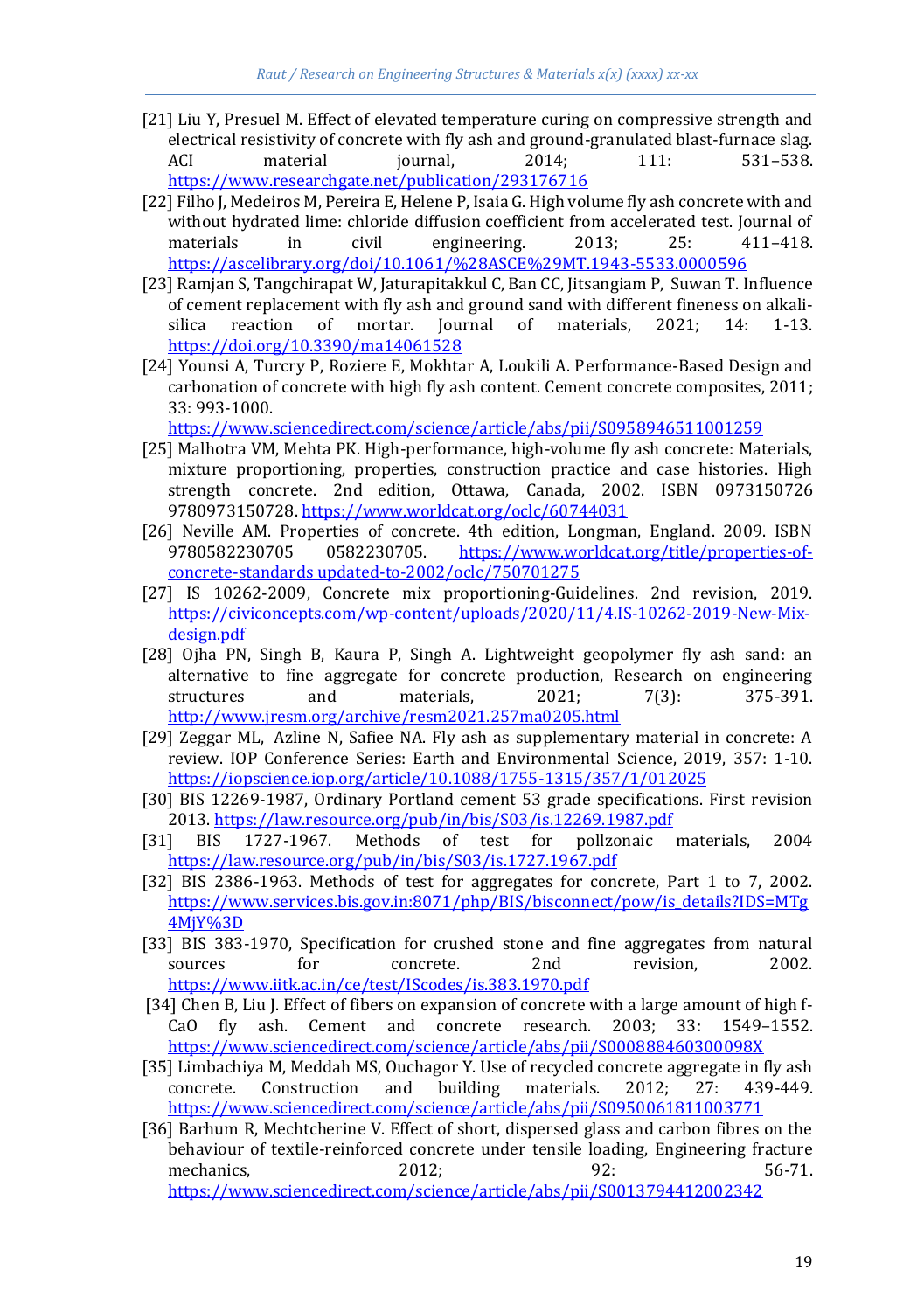- [21] Liu Y, Presuel M. Effect of elevated temperature curing on compressive strength and electrical resistivity of concrete with fly ash and ground-granulated blast-furnace slag. ACI material journal, 2014; 111: 531–538. <https://www.researchgate.net/publication/293176716>
- [22] Filho J, Medeiros M, Pereira E, Helene P, Isaia G. High volume fly ash concrete with and without hydrated lime: chloride diffusion coefficient from accelerated test. Journal of materials in civil engineering. 2013; 25: 411-418. <https://ascelibrary.org/doi/10.1061/%28ASCE%29MT.1943-5533.0000596>
- [23] Ramjan S, Tangchirapat W, Jaturapitakkul C, Ban CC, Jitsangiam P, Suwan T. Influence of cement replacement with fly ash and ground sand with different fineness on alkalisilica reaction of mortar. Journal of materials, 2021; 14: 1-13. <https://doi.org/10.3390/ma14061528>
- [24] Younsi A, Turcry P, Roziere E, Mokhtar A, Loukili A. Performance-Based Design and carbonation of concrete with high fly ash content. Cement concrete composites, 2011; 33: 993-1000.

<https://www.sciencedirect.com/science/article/abs/pii/S0958946511001259>

- [25] Malhotra VM, Mehta PK. High-performance, high-volume fly ash concrete: Materials, mixture proportioning, properties, construction practice and case histories. High strength concrete. 2nd edition, Ottawa, Canada, 2002. ISBN 0973150726 9780973150728[. https://www.worldcat.org/oclc/60744031](https://www.worldcat.org/oclc/60744031)
- [26] Neville AM. Properties of concrete. 4th edition, Longman, England. 2009. ISBN 9780582230705 0582230705. [https://www.worldcat.org/title/properties-of](https://www.worldcat.org/title/properties-of-concrete-standards%20updated-to-2002/oclc/750701275)[concrete-standards updated-to-2002/oclc/750701275](https://www.worldcat.org/title/properties-of-concrete-standards%20updated-to-2002/oclc/750701275)
- [27] IS 10262-2009, Concrete mix proportioning-Guidelines. 2nd revision, 2019. [https://civiconcepts.com/wp-content/uploads/2020/11/4.IS-10262-2019-New-Mix](https://civiconcepts.com/wp-content/uploads/2020/11/4.IS-10262-2019-New-Mix-design.pdf)[design.pdf](https://civiconcepts.com/wp-content/uploads/2020/11/4.IS-10262-2019-New-Mix-design.pdf)
- [28] Ojha PN, Singh B, Kaura P, Singh A. Lightweight geopolymer fly ash sand: an alternative to fine aggregate for concrete production, Research on engineering structures and materials, 2021; 7(3): 375-391. <http://www.jresm.org/archive/resm2021.257ma0205.html>
- [29] Zeggar ML, Azline N, Safiee NA. Fly ash as supplementary material in concrete: A review. IOP Conference Series: Earth and Environmental Science, 2019, 357: 1-10. <https://iopscience.iop.org/article/10.1088/1755-1315/357/1/012025>
- [30] BIS 12269-1987, Ordinary Portland cement 53 grade specifications. First revision 2013.<https://law.resource.org/pub/in/bis/S03/is.12269.1987.pdf>
- [31] BIS 1727-1967. Methods of test for pollzonaic materials, 2004 <https://law.resource.org/pub/in/bis/S03/is.1727.1967.pdf>
- [32] BIS 2386-1963. Methods of test for aggregates for concrete, Part 1 to 7, 2002. [https://www.services.bis.gov.in:8071/php/BIS/bisconnect/pow/is\\_details?IDS=MTg](https://www.services.bis.gov.in:8071/php/BIS/bisconnect/pow/is_details?IDS=MTg4MjY%3D) [4MjY%3D](https://www.services.bis.gov.in:8071/php/BIS/bisconnect/pow/is_details?IDS=MTg4MjY%3D)
- [33] BIS 383-1970, Specification for crushed stone and fine aggregates from natural sources for concrete. 2nd revision, 2002. <https://www.iitk.ac.in/ce/test/IScodes/is.383.1970.pdf>
- [34] Chen B, Liu J. Effect of fibers on expansion of concrete with a large amount of high f-CaO fly ash. Cement and concrete research. 2003; 33: 1549–1552. <https://www.sciencedirect.com/science/article/abs/pii/S000888460300098X>
- [35] Limbachiya M, Meddah MS, Ouchagor Y. Use of recycled concrete aggregate in fly ash concrete. Construction and building materials. 2012; 27: 439-449. <https://www.sciencedirect.com/science/article/abs/pii/S0950061811003771>
- [36] Barhum R, Mechtcherine V. Effect of short, dispersed glass and carbon fibres on the behaviour of textile-reinforced concrete under tensile loading, Engineering fracture mechanics, 2012; 92: 56-71. <https://www.sciencedirect.com/science/article/abs/pii/S0013794412002342>